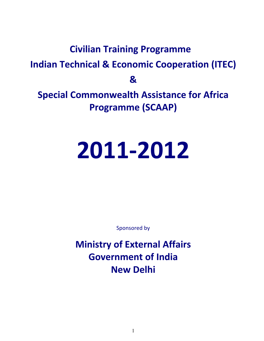## **Civilian Training Programme Indian Technical & Economic Cooperation (ITEC) & Special Commonwealth Assistance for Africa Programme (SCAAP)**

# **2011-2012**

Sponsored by

**Ministry of External Affairs Government of India New Delhi**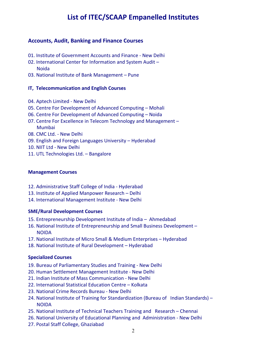## **List of ITEC/SCAAP Empanelled Institutes**

### **Accounts, Audit, Banking and Finance Courses**

- 01. Institute of Government Accounts and Finance New Delhi
- 02. International Center for Information and System Audit Noida
- 03. National Institute of Bank Management Pune

#### **IT, Telecommunication and English Courses**

- 04. Aptech Limited New Delhi
- 05. Centre For Development of Advanced Computing Mohali
- 06. Centre For Development of Advanced Computing Noida
- 07. Centre For Excellence in Telecom Technology and Management Mumbai
- 08. CMC Ltd. New Delhi
- 09. English and Foreign Languages University Hyderabad
- 10. NIIT Ltd New Delhi
- 11. UTL Technologies Ltd. Bangalore

#### **Management Courses**

- 12. Administrative Staff College of India Hyderabad
- 13. Institute of Applied Manpower Research Delhi
- 14. International Management Institute New Delhi

#### **SME/Rural Development Courses**

- 15. Entrepreneurship Development Institute of India Ahmedabad
- 16. National Institute of Entrepreneurship and Small Business Development NOIDA
- 17. National Institute of Micro Small & Medium Enterprises Hyderabad
- 18. National Institute of Rural Development Hyderabad

#### **Specialized Courses**

- 19. Bureau of Parliamentary Studies and Training New Delhi
- 20. Human Settlement Management Institute New Delhi
- 21. Indian Institute of Mass Communication New Delhi
- 22. International Statistical Education Centre Kolkata
- 23. National Crime Records Bureau New Delhi
- 24. National Institute of Training for Standardization (Bureau of Indian Standards) NOIDA
- 25. National Institute of Technical Teachers Training and Research Chennai
- 26. National University of Educational Planning and Administration New Delhi
- 27. Postal Staff College, Ghaziabad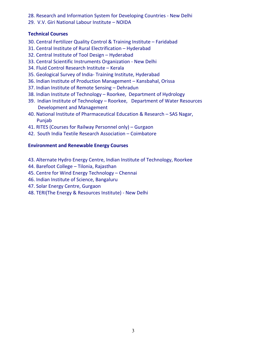- 28. Research and Information System for Developing Countries New Delhi
- 29. V.V. Giri National Labour Institute NOIDA

#### **Technical Courses**

- 30. Central Fertilizer Quality Control & Training Institute Faridabad
- 31. Central Institute of Rural Electrification Hyderabad
- 32. Central Institute of Tool Design Hyderabad
- 33. Central Scientific Instruments Organization New Delhi
- 34. Fluid Control Research Institute Kerala
- 35. Geological Survey of India- Training Institute, Hyderabad
- 36. Indian Institute of Production Management Kansbahal, Orissa
- 37. Indian Institute of Remote Sensing Dehradun
- 38. Indian Institute of Technology Roorkee, Department of Hydrology
- 39. Indian Institute of Technology Roorkee, Department of Water Resources Development and Management
- 40. National Institute of Pharmaceutical Education & Research SAS Nagar, Punjab
- 41. RITES (Courses for Railway Personnel only) Gurgaon
- 42. South India Textile Research Association Coimbatore

#### **Environment and Renewable Energy Courses**

- 43. Alternate Hydro Energy Centre, Indian Institute of Technology, Roorkee
- 44. Barefoot College Tilonia, Rajasthan
- 45. Centre for Wind Energy Technology Chennai
- 46. Indian Institute of Science, Bangaluru
- 47. Solar Energy Centre, Gurgaon
- 48. TERI(The Energy & Resources Institute) New Delhi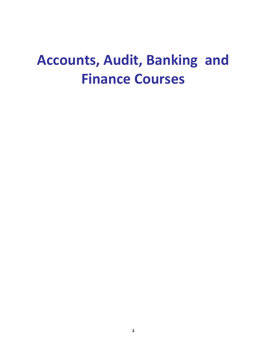## **Accounts, Audit, Banking and Finance Courses**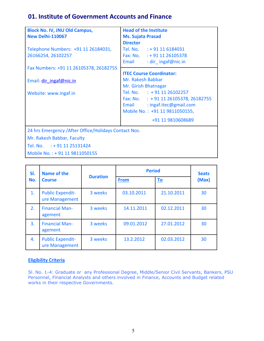## **01. Institute of Government Accounts and Finance**

| <b>Block No. IV, JNU Old Campus,</b><br><b>New Delhi-110067</b> | <b>Head of the Institute</b><br><b>Ms. Sujata Prasad</b><br><b>Director</b>                                                             |
|-----------------------------------------------------------------|-----------------------------------------------------------------------------------------------------------------------------------------|
| Telephone Numbers: +91 11 26184031,<br>26166254, 26102257       | Tel. No. : +91 11 6184031<br>Fax: No. : + 91 11 26105378<br>Email<br>: dir $ingaf@nic.in$                                               |
| Fax Numbers: +91 11 26105378, 26182755                          | <b>ITEC Course Coordinator:</b>                                                                                                         |
| Email: dir ingaf@nic.in                                         | Mr. Rakesh Babbar<br>Mr. Girish Bhatnagar                                                                                               |
| Website: www.ingaf.in                                           | Tel. No. : +91 11 26102257<br>Fax: No. : +91 11 26105378, 26182755<br>: ingaf.itec@gmail.com<br>Email<br>Mobile No.: +91 11 9811050155, |
|                                                                 | +91 11 9810608689                                                                                                                       |
| 24 hrs Emergency / After Office/Holidays Contact Nos.           |                                                                                                                                         |
| Mr. Rakesh Babbar, Faculty                                      |                                                                                                                                         |
| Tel. No. : +91 11 25131424                                      |                                                                                                                                         |
| Mobile No.: +91 11 9811050155                                   |                                                                                                                                         |

| SI.            | <b>Name of the</b>                        |                 | <b>Period</b> | <b>Seats</b> |       |
|----------------|-------------------------------------------|-----------------|---------------|--------------|-------|
| No.            | <b>Course</b>                             | <b>Duration</b> | <b>From</b>   | <u>To</u>    | (Max) |
| $\mathbf{1}$ . | <b>Public Expendit-</b><br>ure Management | 3 weeks         | 03.10.2011    | 21.10.2011   | 30    |
| 2.             | <b>Financial Man-</b><br>agement          | 3 weeks         | 14.11.2011    | 02.12.2011   | 30    |
| 3.             | <b>Financial Man-</b><br>agement          | 3 weeks         | 09.01.2012    | 27.01.2012   | 30    |
| 4.             | <b>Public Expendit-</b><br>ure Management | 3 weeks         | 13.2.2012     | 02.03.2012   | 30    |

#### **Eligibility Criteria**

Sl. No. 1-4: Graduate or any Professional Degree, Middle/Senior Civil Servants, Bankers, PSU Personnel, Financial Analysts and others involved in Finance, Accounts and Budget related works in their respective Governments.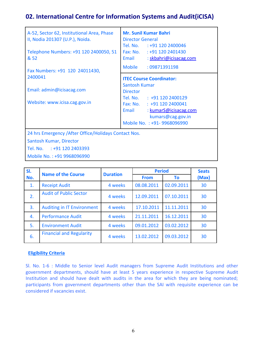## **02. International Centre for Information Systems and Audit(iCISA)**

| A-52, Sector 62, Institutional Area, Phase<br>II, Nodia 201307 (U.P.), Noida. | <b>Mr. Sunil Kumar Bahri</b><br><b>Director General</b><br>Tel. No. : +91 120 2400046      |
|-------------------------------------------------------------------------------|--------------------------------------------------------------------------------------------|
| Telephone Numbers: +91 120 2400050, 51<br>& 52                                | Fax: No. : +91 120 2401430<br>Email<br>: skbahri@icisacag.com                              |
| Fax Numbers: +91 120 24011430,                                                | Mobile<br>: 09871391198                                                                    |
| 2400041                                                                       | <b>ITEC Course Coordinator:</b>                                                            |
| Email: admin@icisacag.com                                                     | Santosh Kumar<br><b>Director</b>                                                           |
| Website: www.icisa.cag.gov.in                                                 | Tel. No. : +91 120 2400129<br>Fax: No. : +91 120 2400041<br>Email<br>: kumarS@icisacag.com |
|                                                                               | kumars@cag.gov.in<br>Mobile No.: +91-9968096990                                            |
| 24 hrs Emergency / After Office/Holidays Contact Nos.                         |                                                                                            |
| Santosh Kumar, Director                                                       |                                                                                            |
| Tel. No. : +91 120 2403393                                                    |                                                                                            |
| Mobile No.: +91 9968096990                                                    |                                                                                            |

| SI. | <b>Name of the Course</b>         |         | <b>Duration</b> | <b>Period</b> |       | <b>Seats</b> |
|-----|-----------------------------------|---------|-----------------|---------------|-------|--------------|
| No. |                                   |         | <b>From</b>     | To            | (Max) |              |
| 1.  | <b>Receipt Audit</b>              | 4 weeks | 08.08.2011      | 02.09.2011    | 30    |              |
| 2.  | <b>Audit of Public Sector</b>     | 4 weeks | 12.09.2011      | 07.10.2011    | 30    |              |
| 3.  | <b>Auditing in IT Environment</b> | 4 weeks | 17.10.2011      | 11.11.2011    | 30    |              |
| 4.  | <b>Performance Audit</b>          | 4 weeks | 21.11.2011      | 16.12.2011    | 30    |              |
| 5.  | <b>Environment Audit</b>          | 4 weeks | 09.01.2012      | 03.02.2012    | 30    |              |
| 6.  | <b>Financial and Regularity</b>   | 4 weeks | 13.02.2012      | 09.03.2012    | 30    |              |

#### **Eligibility Criteria**

Sl. No. 1-6 : Middle to Senior level Audit managers from Supreme Audit Institutions and other government departments, should have at least 5 years experience in respective Supreme Audit Institution and should have dealt with audits in the area for which they are being nominated; participants from government departments other than the SAI with requisite experience can be considered if vacancies exist.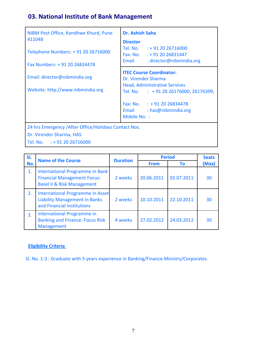## **03. National Institute of Bank Management**

| NIBM Post Office, Kondhwe Khurd, Pune<br>411048<br>Telephone Numbers: +91 20 26716000<br>Fax Numbers: +91 20 26834478 | <b>Dr. Ashish Saha</b><br><b>Director</b><br>Tel. No. : +91 20 26716000<br>Fax: No. $: +912026831447$<br>Email<br>: director@nibmindia.org                                                                                               |
|-----------------------------------------------------------------------------------------------------------------------|------------------------------------------------------------------------------------------------------------------------------------------------------------------------------------------------------------------------------------------|
| Email: director@nibmindia.org<br>Website: http://www.nibmindia.org                                                    | <b>ITEC Course Coordinator:</b><br>Dr. Virender Sharma<br><b>Head, Administrative Services</b><br>Tel. No. $\therefore$ +91 20 26176000, 26176399,<br>Fax: No. $\therefore$ + 91 20 26834478<br>Email : has@nibmindia.org<br>Mobile No.: |
| 24 hrs Emergency / After Office/Holidays Contact Nos.<br>Dr. Virender Sharma, HAS<br>Tel. No. $: +912026716000$       |                                                                                                                                                                                                                                          |

| SI. | <b>Name of the Course</b>                                                                                      |                 |             | <b>Period</b> |       |
|-----|----------------------------------------------------------------------------------------------------------------|-----------------|-------------|---------------|-------|
| No. |                                                                                                                | <b>Duration</b> | <b>From</b> | <b>To</b>     | (Max) |
| 1.  | International Programme in Bank<br><b>Financial Management Focus:</b><br><b>Basel II &amp; Risk Management</b> | 2 weeks         | 20.06.2011  | 02.07.2011    | 30    |
| 2.  | International Programme in Asset<br><b>Liability Management in Banks</b><br>and Financial Institutions         | 2 weeks         | 10.10.2011  | 22.10.2011    | 30    |
| 3.  | <b>International Programme in</b><br><b>Banking and Finance: Focus Risk</b><br><b>Management</b>               | 4 weeks         | 27.02.2012  | 24.03.2012    | 30    |

## **Eligibility Criteria**

Sl. No. 1-3 : Graduate with 5 years experience in Banking/Finance Ministry/Corporates.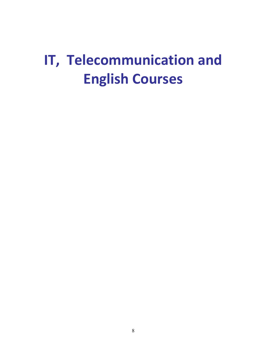## **IT, Telecommunication and English Courses**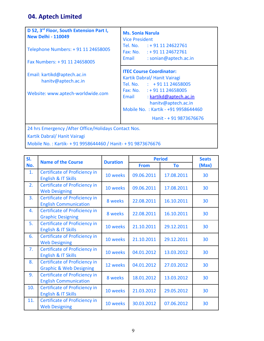## **04. Aptech Limited**

| D 52, 3 <sup>rd</sup> Floor, South Extension Part I,<br><b>New Delhi - 110049</b><br>Telephone Numbers: + 91 11 24658005<br>Fax Numbers: +91 11 24658005 | <b>Ms. Sonia Narula</b><br><b>Vice President</b><br>Tel. No. $: +911124622761$<br>Fax: No. $: +911124672761$<br>Email<br>: sonian@aptech.ac.in                                                                                                           |
|----------------------------------------------------------------------------------------------------------------------------------------------------------|----------------------------------------------------------------------------------------------------------------------------------------------------------------------------------------------------------------------------------------------------------|
| Email: kartikd@aptech.ac.in<br>hanity@aptech.ac.in<br>Website: www.aptech-worldwide.com                                                                  | <b>ITEC Course Coordinator:</b><br>Kartik Dabral/ Hanit Vairagi<br>Tel. No. : +91 11 24658005<br>Fax: No. $: +911124658005$<br>Email<br>: kartikd@aptech.ac.in<br>hanity@aptech.ac.in<br>Mobile No. : Kartik - +91 9958644460<br>Hanit - + 91 9873676676 |
| 24 hrs Emergency / After Office/Holidays Contact Nos.<br>Kartik Dabral/Hanit Vairagi                                                                     |                                                                                                                                                                                                                                                          |

Mobile No. : Kartik- + 91 9958644460 / Hanit- + 91 9873676676

| SI. | <b>Name of the Course</b>                                                  | <b>Duration</b> | <b>Period</b> |            | <b>Seats</b> |
|-----|----------------------------------------------------------------------------|-----------------|---------------|------------|--------------|
| No. |                                                                            |                 | <b>From</b>   | To         | (Max)        |
| 1.  | Certificate of Proficiency in<br>English & IT Skills                       | 10 weeks        | 09.06.2011    | 17.08.2011 | 30           |
| 2.  | <b>Certificate of Proficiency in</b><br><b>Web Designing</b>               | 10 weeks        | 09.06.2011    | 17.08.2011 | 30           |
| 3.  | Certificate of Proficiency in<br><b>English Communication</b>              | 8 weeks         | 22.08.2011    | 16.10.2011 | 30           |
| 4.  | <b>Certificate of Proficiency in</b><br><b>Graphic Designing</b>           | 8 weeks         | 22.08.2011    | 16.10.2011 | 30           |
| 5.  | <b>Certificate of Proficiency in</b><br>English & IT Skills                | 10 weeks        | 21.10.2011    | 29.12.2011 | 30           |
| 6.  | <b>Certificate of Proficiency in</b><br><b>Web Designing</b>               | 10 weeks        | 21.10.2011    | 29.12.2011 | 30           |
| 7.  | Certificate of Proficiency in<br>English & IT Skills                       | 10 weeks        | 04.01.2012    | 13.03.2012 | 30           |
| 8.  | <b>Certificate of Proficiency in</b><br><b>Graphic &amp; Web Designing</b> | 12 weeks        | 04.01.2012    | 27.03.2012 | 30           |
| 9.  | <b>Certificate of Proficiency in</b><br><b>English Communication</b>       | 8 weeks         | 18.01.2012    | 13.03.2012 | 30           |
| 10. | <b>Certificate of Proficiency in</b><br>English & IT Skills                | 10 weeks        | 21.03.2012    | 29.05.2012 | 30           |
| 11. | <b>Certificate of Proficiency in</b><br><b>Web Designing</b>               | 10 weeks        | 30.03.2012    | 07.06.2012 | 30           |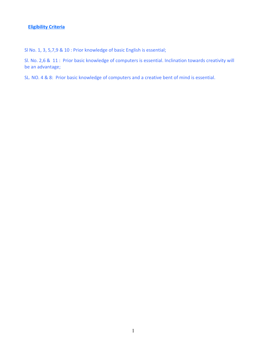Sl No. 1, 3, 5,7,9 & 10 : Prior knowledge of basic English is essential;

Sl. No. 2,6 & 11 : Prior basic knowledge of computers is essential. Inclination towards creativity will be an advantage;

SL. NO. 4 & 8: Prior basic knowledge of computers and a creative bent of mind is essential.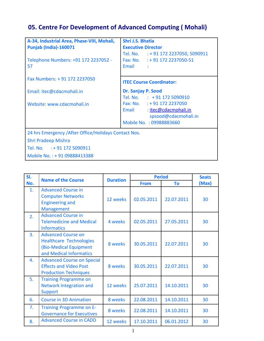## **05. Centre For Development of Advanced Computing ( Mohali)**

| A-34, Industrial Area, Phase-VIII, Mohali,<br><b>Punjab (India)-160071</b> | Shri J.S. Bhatia<br><b>Executive Director</b>                                                               |
|----------------------------------------------------------------------------|-------------------------------------------------------------------------------------------------------------|
| Telephone Numbers: +91 172 2237052 -<br>57                                 | Tel. No. : + 91 172 2237050, 5090911<br>Fax: No. : + 91 172 2237050-51<br>Email :                           |
| Fax Numbers: +91 172 2237050                                               | <b>ITEC Course Coordinator:</b>                                                                             |
| Email: itec@cdacmohali.in                                                  | Dr. Sanjay P. Sood<br>Tel. No. : +91 172 5090910                                                            |
| Website: www.cdacmohali.in                                                 | Fax: No. : + 91 172 2237050<br>Email: itec@cdacmohali.in<br>spsood@cdacmohali.in<br>Mobile No.: 09988883660 |
| 24 hrs Emergency / After Office/Holidays Contact Nos.                      |                                                                                                             |
| <b>Shri Pradeep Mishra</b>                                                 |                                                                                                             |
| Tel. No. : +91 172 5090911                                                 |                                                                                                             |
| Mobile No.: +91 09888413388                                                |                                                                                                             |

| SI. | <b>Name of the Course</b>                                                                                        |          | <b>Period</b><br><b>Duration</b> |            | <b>Seats</b> |
|-----|------------------------------------------------------------------------------------------------------------------|----------|----------------------------------|------------|--------------|
| No. |                                                                                                                  |          | <b>From</b>                      | To         | (Max)        |
| 1.  | <b>Advanced Course in</b><br><b>Computer Networks</b><br><b>Engineering and</b><br>Management                    | 12 weeks | 02.05.2011                       | 22.07.2011 | 30           |
| 2.  | <b>Advanced Course in</b><br><b>Telemedicine and Medical</b><br><b>Informatics</b>                               | 4 weeks  | 02.05.2011                       | 27.05.2011 | 30           |
| 3.  | <b>Advanced Course on</b><br><b>Healthcare Technologies</b><br>(Bio-Medical Equipment<br>and Medical Informatics | 8 weeks  | 30.05.2011                       | 22.07.2011 | 30           |
| 4.  | <b>Advanced Course on Special</b><br><b>Effects and Video Post</b><br><b>Production Techniques</b>               | 8 weeks  | 30.05.2011                       | 22.07.2011 | 30           |
| 5.  | <b>Training Programme on</b><br><b>Network Integration and</b><br><b>Support</b>                                 | 12 weeks | 25.07.2011                       | 14.10.2011 | 30           |
| 6.  | <b>Course in 3D Animation</b>                                                                                    | 8 weeks  | 22.08.2011                       | 14.10.2011 | 30           |
| 7.  | <b>Training Programme on E-</b><br><b>Governance for Executives</b>                                              | 8 weeks  | 22.08.2011                       | 14.10.2011 | 30           |
| 8.  | <b>Advanced Course in CADD</b>                                                                                   | 12 weeks | 17.10.2011                       | 06.01.2012 | 30           |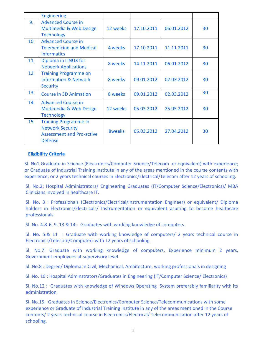|     | <b>Engineering</b>                                                                                            |               |            |            |    |
|-----|---------------------------------------------------------------------------------------------------------------|---------------|------------|------------|----|
| 9.  | <b>Advanced Course in</b><br>Multimedia & Web Design<br><b>Technology</b>                                     | 12 weeks      | 17.10.2011 | 06.01.2012 | 30 |
| 10. | <b>Advanced Course in</b><br><b>Telemedicine and Medical</b><br><b>Informatics</b>                            | 4 weeks       | 17.10.2011 | 11.11.2011 | 30 |
| 11. | Diploma in LINUX for<br><b>Network Applications</b>                                                           | 8 weeks       | 14.11.2011 | 06.01.2012 | 30 |
| 12. | <b>Training Programme on</b><br><b>Information &amp; Network</b><br><b>Security</b>                           | 8 weeks       | 09.01.2012 | 02.03.2012 | 30 |
| 13. | <b>Course in 3D Animation</b>                                                                                 | 8 weeks       | 09.01.2012 | 02.03.2012 | 30 |
| 14. | <b>Advanced Course in</b><br>Multimedia & Web Design<br><b>Technology</b>                                     | 12 weeks      | 05.03.2012 | 25.05.2012 | 30 |
| 15. | <b>Training Programme in</b><br><b>Network Security</b><br><b>Assessment and Pro-active</b><br><b>Defense</b> | <b>8weeks</b> | 05.03.2012 | 27.04.2012 | 30 |

Sl. No1 Graduate in Science (Electronics/Computer Science/Telecom or equivalent) with experience; or Graduate of Industrial Training Institute in any of the areas mentioned in the course contents with experience; or 2 years technical courses in Electronics/Electrical/Telecom after 12 years of schooling.

Sl. No.2: Hospital Administrators/ Engineering Graduates (IT/Computer Science/Electronics)/ MBA Clinicians involved in healthcare IT.

Sl. No. 3 : Professionals (Electronics/Electrical/Instrumentation Engineer) or equivalent/ Diploma holders in Electronics/Electricals/ Instrumentation or equivalent aspiring to become healthcare professionals.

Sl. No. 4.& 6, 9, 13 & 14 : Graduates with working knowledge of computers.

Sl. No. 5.& 11 : Graduate with working knowledge of computers/ 2 years technical course in Electronics/Telecom/Computers with 12 years of schooling.

Sl. No.7: Graduate with working knowledge of computers. Experience minimum 2 years, Government employees at supervisory level.

Sl. No.8 : Degree/ Diploma in Civil, Mechanical, Architecture, working professionals in designing

Sl. No. 10 : Hospital Adminstrators/Graduates in Engineering (IT/Computer Science/ Electronics)

Sl. No.12 : Graduates with knowledge of Windows Operating System preferably familiarity with its administration.

Sl. No.15: Graduates in Science/Electronics/Computer Science/Telecommunications with some experience or Graduate of Industrial Training Institute in any of the areas mentioned in the Course contents/ 2 years technical course in Electronics/Electrical/ Telecommunication after 12 years of schooling.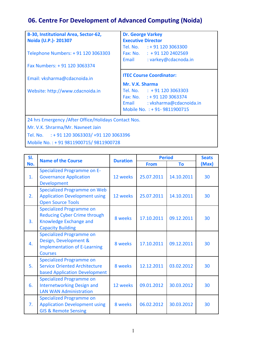## **06. Centre For Development of Advanced Computing (Noida)**

| B-30, Institutional Area, Sector-62,                    | <b>Dr. George Varkey</b>                      |  |  |  |
|---------------------------------------------------------|-----------------------------------------------|--|--|--|
| Noida (U.P.)- 201307                                    | <b>Executive Director</b>                     |  |  |  |
|                                                         | Tel. No. : +91 120 3063300                    |  |  |  |
| Telephone Numbers: + 91 120 3063303                     | Fax: No. $\therefore$ + 91 120 2402569        |  |  |  |
|                                                         | : varkey@cdacnoda.in<br>Email                 |  |  |  |
| Fax Numbers: +91 120 3063374                            |                                               |  |  |  |
|                                                         | <b>ITEC Course Coordinator:</b>               |  |  |  |
| Email: vksharma@cdacnoida.in                            |                                               |  |  |  |
|                                                         | Mr. V.K. Sharma<br>Tel. No. : +91 120 3063303 |  |  |  |
| Website: http://www.cdacnoida.in                        |                                               |  |  |  |
|                                                         | Fax: No. $: +911203063374$                    |  |  |  |
|                                                         | Email : vksharma@cdacnoida.in                 |  |  |  |
|                                                         | Mobile No. : + 91-9811900715                  |  |  |  |
| 24 hrs Emergency / After Office/Holidays Contact Nos.   |                                               |  |  |  |
| Mr. V.K. Shrarma/Mr. Navneet Jain                       |                                               |  |  |  |
| Tel. No. $\therefore$ + 91 120 3063303/ +91 120 3063396 |                                               |  |  |  |
| Mobile No.: +91 9811900715/9811900728                   |                                               |  |  |  |

| SI. | <b>Name of the Course</b>                                                                                                    |          | <b>Period</b><br><b>Duration</b> |            | <b>Seats</b> |
|-----|------------------------------------------------------------------------------------------------------------------------------|----------|----------------------------------|------------|--------------|
| No. |                                                                                                                              |          | <b>From</b>                      | To         | (Max)        |
| 1.  | <b>Specialized Programme on E-</b><br><b>Governance Application</b><br><b>Development</b>                                    | 12 weeks | 25.07.2011                       | 14.10.2011 | 30           |
| 2.  | <b>Specialized Programme on Web</b><br><b>Application Development using</b><br><b>Open Source Tools</b>                      | 12 weeks | 25.07.2011                       | 14.10.2011 | 30           |
| 3.  | <b>Specialized Programme on</b><br><b>Reducing Cyber Crime through</b><br>Knowledge Exchange and<br><b>Capacity Building</b> | 8 weeks  | 17.10.2011                       | 09.12.2011 | 30           |
| 4.  | <b>Specialized Programme on</b><br>Design, Development &<br><b>Implementation of E-Learning</b><br><b>Courses</b>            | 8 weeks  | 17.10.2011                       | 09.12.2011 | 30           |
| 5.  | <b>Specialized Programme on</b><br><b>Service Oriented Architecture</b><br>based Application Development                     | 8 weeks  | 12.12.2011                       | 03.02.2012 | 30           |
| 6.  | <b>Specialized Programme on</b><br><b>Internetworking Design and</b><br><b>LAN WAN Administration</b>                        | 12 weeks | 09.01.2012                       | 30.03.2012 | 30           |
| 7.  | <b>Specialized Programme on</b><br><b>Application Development using</b><br><b>GIS &amp; Remote Sensing</b>                   | 8 weeks  | 06.02.2012                       | 30.03.2012 | 30           |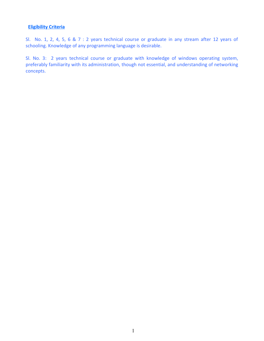Sl. No. 1, 2, 4, 5, 6 & 7 : 2 years technical course or graduate in any stream after 12 years of schooling. Knowledge of any programming language is desirable.

Sl. No. 3: 2 years technical course or graduate with knowledge of windows operating system, preferably familiarity with its administration, though not essential, and understanding of networking concepts.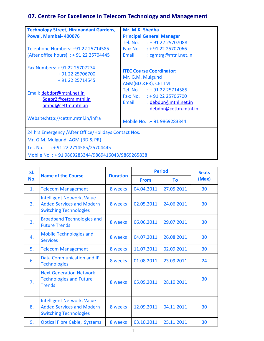## **07. Centre For Excellence in Telecom Technology and Management**

| Technology Street, Hiranandani Gardens,               | Mr. M.K. Shedha                  |  |  |
|-------------------------------------------------------|----------------------------------|--|--|
| Powai, Mumbai- 400076                                 | <b>Principal General Manager</b> |  |  |
|                                                       | Tel. No. : +91 22 25707088       |  |  |
| Telephone Numbers: +91 22 25714585                    | Fax: No. : + 91 22 25707066      |  |  |
| (After office hours) : + 91 22 25704445               | Email<br>: cgmtrg@mtnl.net.in    |  |  |
| Fax Numbers: +91 22 25707274                          |                                  |  |  |
| + 91 22 25706700                                      | <b>ITEC Course Coordinator:</b>  |  |  |
| + 91 22 25714545                                      | Mr. G.M. Mulgund                 |  |  |
|                                                       | AGM(BD &PR), CETTM               |  |  |
| Email: debdpr@mtnl.net.in                             | Tel. No. : + 91 22 25714585      |  |  |
| Sdepr2@cettm.mtnl.in                                  | Fax: No. $: +912225706700$       |  |  |
| ambd@cettm.mtnl.in                                    | : debdpr@mtnl.net.in<br>Email    |  |  |
|                                                       | debdpr@cettm.mtnl.in             |  |  |
| Website:http://cettm.mtnl.in/infra                    | Mobile No. : + 91 9869283344     |  |  |
| 24 hrs Emergency / After Office/Holidays Contact Nos. |                                  |  |  |
| Mr. G.M. Mulgund, AGM (BD & PR)                       |                                  |  |  |
|                                                       |                                  |  |  |

Tel. No. : + 91 22 2714585/25704445

Mobile No. : + 91 9869283344/9869416043/9869265838

| SI. | <b>Name of the Course</b>                                                                              | <b>Duration</b> | <b>Period</b> | <b>Seats</b> |       |
|-----|--------------------------------------------------------------------------------------------------------|-----------------|---------------|--------------|-------|
| No. |                                                                                                        |                 | <b>From</b>   | To           | (Max) |
| 1.  | <b>Telecom Management</b>                                                                              | 8 weeks         | 04.04.2011    | 27.05.2011   | 30    |
| 2.  | <b>Intelligent Network, Value</b><br><b>Added Services and Modern</b><br><b>Switching Technologies</b> | 8 weeks         | 02.05.2011    | 24.06.2011   | 30    |
| 3.  | <b>Broadband Technologies and</b><br><b>Future Trends</b>                                              | 8 weeks         | 06.06.2011    | 29.07.2011   | 30    |
| 4.  | <b>Mobile Technologies and</b><br><b>Services</b>                                                      | 8 weeks         | 04.07.2011    | 26.08.2011   | 30    |
| 5.  | <b>Telecom Management</b>                                                                              | 8 weeks         | 11.07.2011    | 02.09.2011   | 30    |
| 6.  | <b>Data Communication and IP</b><br><b>Technologies</b>                                                | 8 weeks         | 01.08.2011    | 23.09.2011   | 24    |
| 7.  | <b>Next Generation Network</b><br><b>Technologies and Future</b><br><b>Trends</b>                      | 8 weeks         | 05.09.2011    | 28.10.2011   | 30    |
| 8.  | <b>Intelligent Network, Value</b><br><b>Added Services and Modern</b><br><b>Switching Technologies</b> | 8 weeks         | 12.09.2011    | 04.11.2011   | 30    |
| 9.  | <b>Optical Fibre Cable, Systems</b>                                                                    | 8 weeks         | 03.10.2011    | 25.11.2011   | 30    |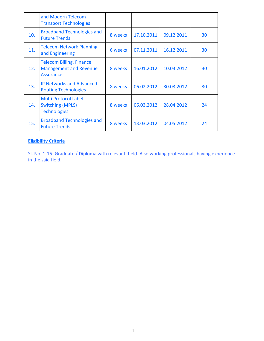|     | and Modern Telecom<br><b>Transport Technologies</b>                                  |         |            |            |    |
|-----|--------------------------------------------------------------------------------------|---------|------------|------------|----|
| 10. | <b>Broadband Technologies and</b><br><b>Future Trends</b>                            | 8 weeks | 17.10.2011 | 09.12.2011 | 30 |
| 11. | <b>Telecom Network Planning</b><br>and Engineering                                   | 6 weeks | 07.11.2011 | 16.12.2011 | 30 |
| 12. | <b>Telecom Billing, Finance</b><br><b>Management and Revenue</b><br><b>Assurance</b> | 8 weeks | 16.01.2012 | 10.03.2012 | 30 |
| 13. | <b>IP Networks and Advanced</b><br><b>Routing Technologies</b>                       | 8 weeks | 06.02.2012 | 30.03.2012 | 30 |
| 14. | <b>Multi Protocol Label</b><br><b>Switching (MPLS)</b><br><b>Technologies</b>        | 8 weeks | 06.03.2012 | 28.04.2012 | 24 |
| 15. | <b>Broadband Technologies and</b><br><b>Future Trends</b>                            | 8 weeks | 13.03.2012 | 04.05.2012 | 24 |

Sl. No. 1-15: Graduate / Diploma with relevant field. Also working professionals having experience in the said field.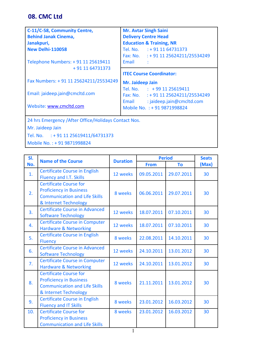## **08. CMC Ltd**

| C-11/C-58, Community Centre,                                              | <b>Mr. Avtar Singh Saini</b>                                       |  |  |
|---------------------------------------------------------------------------|--------------------------------------------------------------------|--|--|
| <b>Behind Janak Cinema,</b>                                               | <b>Delivery Centre Head</b>                                        |  |  |
| Janakpuri,                                                                | <b>Education &amp; Training, NR</b>                                |  |  |
| <b>New Delhi-110058</b>                                                   | Tel. No. : +91 11 64731373                                         |  |  |
|                                                                           | Fax: No. : + 91 11 25624211/25534249                               |  |  |
| Telephone Numbers: + 91 11 25619411                                       | <b>Fmail</b>                                                       |  |  |
| + 91 11 64731373                                                          |                                                                    |  |  |
|                                                                           | <b>ITEC Course Coordinator:</b>                                    |  |  |
| Fax Numbers: +91 11 25624211/25534249                                     | Mr. Jaideep Jain                                                   |  |  |
|                                                                           |                                                                    |  |  |
| Email: jaideep.jain@cmcltd.com                                            | Tel. No. : +99 11 25619411<br>Fax: No. : + 91 11 25624211/25534249 |  |  |
| Website: www.cmcltd.com                                                   | : jaideep.jain@cmcltd.com<br>Email<br>Mobile No. : + 91 9871998824 |  |  |
|                                                                           |                                                                    |  |  |
| 24 hrs Emergency / After Office/Holidays Contact Nos.<br>Mr. Jaideep Jain |                                                                    |  |  |

Tel. No. : + 91 11 25619411/64731373

Mobile No. : + 91 9871998824

| SI. | <b>Name of the Course</b>                                                                                                        | <b>Duration</b> |             | <b>Period</b> | <b>Seats</b> |
|-----|----------------------------------------------------------------------------------------------------------------------------------|-----------------|-------------|---------------|--------------|
| No. |                                                                                                                                  |                 | <b>From</b> | To            | (Max)        |
| 1.  | <b>Certificate Course in English</b><br>Fluency and I.T. Skills                                                                  | 12 weeks        | 09.05.2011  | 29.07.2011    | 30           |
| 2.  | <b>Certificate Course for</b><br><b>Proficiency in Business</b><br><b>Communication and Life Skills</b><br>& Internet Technology | 8 weeks         | 06.06.2011  | 29.07.2011    | 30           |
| 3.  | <b>Certificate Course in Advanced</b><br><b>Software Technology</b>                                                              | 12 weeks        | 18.07.2011  | 07.10.2011    | 30           |
| 4.  | <b>Certificate Course in Computer</b><br><b>Hardware &amp; Networking</b>                                                        | 12 weeks        | 18.07.2011  | 07.10.2011    | 30           |
| 5.  | <b>Certificate Course in English</b><br><b>Fluency</b>                                                                           | 8 weeks         | 22.08.2011  | 14.10.2011    | 30           |
| 6.  | <b>Certificate Course in Advanced</b><br><b>Software Technology</b>                                                              | 12 weeks        | 24.10.2011  | 13.01.2012    | 30           |
| 7.  | <b>Certificate Course in Computer</b><br><b>Hardware &amp; Networking</b>                                                        | 12 weeks        | 24.10.2011  | 13.01.2012    | 30           |
| 8.  | <b>Certificate Course for</b><br><b>Proficiency in Business</b><br><b>Communication and Life Skills</b><br>& Internet Technology | 8 weeks         | 21.11.2011  | 13.01.2012    | 30           |
| 9.  | <b>Certificate Course in English</b><br><b>Fluency and IT Skills</b>                                                             | 8 weeks         | 23.01.2012  | 16.03.2012    | 30           |
| 10. | <b>Certificate Course for</b><br><b>Proficiency in Business</b><br><b>Communication and Life Skills</b>                          | 8 weeks         | 23.01.2012  | 16.03.2012    | 30           |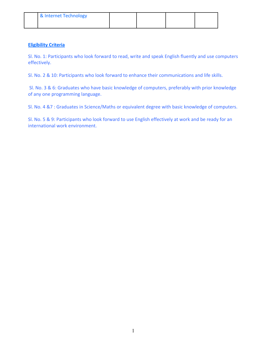| & Internet Technology |  |  |
|-----------------------|--|--|
|                       |  |  |

Sl. No. 1: Participants who look forward to read, write and speak English fluently and use computers effectively.

Sl. No. 2 & 10: Participants who look forward to enhance their communications and life skills.

Sl. No. 3 & 6: Graduates who have basic knowledge of computers, preferably with prior knowledge of any one programming language.

Sl. No. 4 &7 : Graduates in Science/Maths or equivalent degree with basic knowledge of computers.

Sl. No. 5 & 9: Participants who look forward to use English effectively at work and be ready for an international work environment.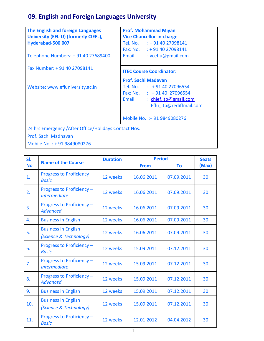## **09. English and Foreign Languages University**

| The English and foreign Languages<br>University (EFL-U) (formerly CIEFL),<br>Hyderabad-500 007              | <b>Prof. Mohammad Miyan</b><br><b>Vice Chancellor-in-charge</b><br>Tel. No. : +91 40 27098141                                                                  |  |  |  |
|-------------------------------------------------------------------------------------------------------------|----------------------------------------------------------------------------------------------------------------------------------------------------------------|--|--|--|
| Telephone Numbers: +91 40 27689400                                                                          | Fax: No. : +91 40 27098141<br>: vceflu@gmail.com<br>Email                                                                                                      |  |  |  |
| Fax Number: +91 40 27098141                                                                                 | <b>ITEC Course Coordinator:</b>                                                                                                                                |  |  |  |
| Website: www.efluniversity.ac.in                                                                            | <b>Prof. Sachi Madavan</b><br>Tel. No. : +91 40 27096554<br>Fax: No. $\therefore$ +91 40 27096554<br>: chief.itp@gmail.com<br>Email<br>Eflu itp@rediffmail.com |  |  |  |
|                                                                                                             | Mobile No. : + 91 9849080276                                                                                                                                   |  |  |  |
| 24 hrs Emergency / After Office/Holidays Contact Nos.<br>Prof. Sachi Madhavan<br>Mobile No.: +91 9849080276 |                                                                                                                                                                |  |  |  |

| SI.       |                                                      | <b>Duration</b> | <b>Period</b> |            | <b>Seats</b> |
|-----------|------------------------------------------------------|-----------------|---------------|------------|--------------|
| <b>No</b> | <b>Name of the Course</b>                            |                 | <b>From</b>   | <b>To</b>  | (Max)        |
| 1.        | Progress to Proficiency -<br><b>Basic</b>            | 12 weeks        | 16.06.2011    | 07.09.2011 | 30           |
| 2.        | Progress to Proficiency -<br><b>Intermediate</b>     | 12 weeks        | 16.06.2011    | 07.09.2011 | 30           |
| 3.        | Progress to Proficiency -<br><b>Advanced</b>         | 12 weeks        | 16.06.2011    | 07.09.2011 | 30           |
| 4.        | <b>Business in English</b>                           | 12 weeks        | 16.06.2011    | 07.09.2011 | 30           |
| 5.        | <b>Business in English</b><br>(Science & Technology) | 12 weeks        | 16.06.2011    | 07.09.2011 | 30           |
| 6.        | Progress to Proficiency -<br><b>Basic</b>            | 12 weeks        | 15.09.2011    | 07.12.2011 | 30           |
| 7.        | Progress to Proficiency -<br><b>Intermediate</b>     | 12 weeks        | 15.09.2011    | 07.12.2011 | 30           |
| 8.        | Progress to Proficiency -<br><b>Advanced</b>         | 12 weeks        | 15.09.2011    | 07.12.2011 | 30           |
| 9.        | <b>Business in English</b>                           | 12 weeks        | 15.09.2011    | 07.12.2011 | 30           |
| 10.       | <b>Business in English</b><br>(Science & Technology) | 12 weeks        | 15.09.2011    | 07.12.2011 | 30           |
| 11.       | Progress to Proficiency -<br><b>Basic</b>            | 12 weeks        | 12.01.2012    | 04.04.2012 | 30           |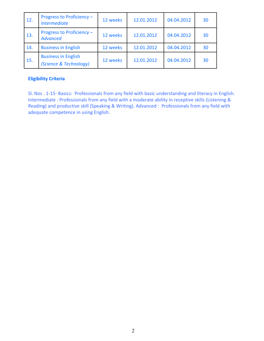| 12. | Progress to Proficiency -<br><b>Intermediate</b>     | 12 weeks | 12.01.2012 | 04.04.2012 | 30 |
|-----|------------------------------------------------------|----------|------------|------------|----|
| 13. | Progress to Proficiency -<br><b>Advanced</b>         | 12 weeks | 12.01.2012 | 04.04.2012 | 30 |
| 14. | <b>Business in English</b>                           | 12 weeks | 12.01.2012 | 04.04.2012 | 30 |
| 15. | <b>Business in English</b><br>(Science & Technology) | 12 weeks | 12.01.2012 | 04.04.2012 | 30 |

Sl. Nos . 1-15- Basics: Professionals from any field with basic understanding and literacy in English. Intermediate : Professionals from any field with a moderate ability in receptive skills (Listening & Reading) and productive skill (Speaking & Writing). Advanced : Professionals from any field with adequate competence in using English.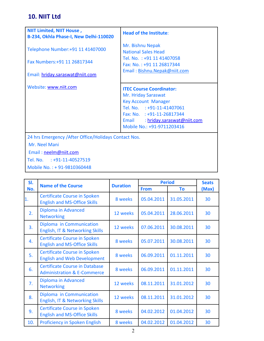## **10. NIIT Ltd**

| <b>NIIT Limited, NIIT House,</b><br>B-234, Okhla Phase-I, New Delhi-110020 | <b>Head of the Institute:</b>                                                                                                                                                                                      |
|----------------------------------------------------------------------------|--------------------------------------------------------------------------------------------------------------------------------------------------------------------------------------------------------------------|
| Telephone Number: +91 11 41407000                                          | Mr. Bishnu Nepak<br><b>National Sales Head</b>                                                                                                                                                                     |
| Fax Numbers: +91 11 26817344                                               | Tel. No.: +91 11 41407058<br>Fax: No.: +91 11 26817344                                                                                                                                                             |
| Email: hriday.saraswat@niit.com                                            | Email: Bishnu.Nepak@niit.com                                                                                                                                                                                       |
| Website: www.niit.com                                                      | <b>ITEC Course Coordinator:</b><br>Mr. Hriday Saraswat<br><b>Key Account Manager</b><br>Tel. No. : +91-11-41407061<br>Fax: No. : +91-11-26817344<br>Email : hriday.saraswat@niit.com<br>Mobile No.: +91-9711203416 |
| 24 hrs Emergency / After Office/Holidays Contact Nos.<br>Mr. Neel Mani     |                                                                                                                                                                                                                    |

Email : [neelm@niit.com](mailto:neelm@niit.com) 

Tel. No. : +91-11-40527519

Mobile No. : + 91-9810360448

| SI. | <b>Name of the Course</b>                                                       |                 | <b>Period</b> |            | <b>Seats</b> |
|-----|---------------------------------------------------------------------------------|-----------------|---------------|------------|--------------|
| No. |                                                                                 | <b>Duration</b> | <b>From</b>   | To         | (Max)        |
| 1.  | <b>Certificate Course in Spoken</b><br><b>English and MS-Office Skills</b>      | 8 weeks         | 05.04.2011    | 31.05.2011 | 30           |
| 2.  | Diploma in Advanced<br><b>Networking</b>                                        | 12 weeks        | 05.04.2011    | 28.06.2011 | 30           |
| 3.  | Diploma in Communication<br>English, IT & Networking Skills                     | 12 weeks        | 07.06.2011    | 30.08.2011 | 30           |
| 4.  | <b>Certificate Course in Spoken</b><br><b>English and MS-Office Skills</b>      | 8 weeks         | 05.07.2011    | 30.08.2011 | 30           |
| 5.  | <b>Certificate Course in Spoken</b><br><b>English and Web Development</b>       | 8 weeks         | 06.09.2011    | 01.11.2011 | 30           |
| 6.  | <b>Certificate Course in Database</b><br><b>Administration &amp; E-Commerce</b> | 8 weeks         | 06.09.2011    | 01.11.2011 | 30           |
| 7.  | Diploma in Advanced<br><b>Networking</b>                                        | 12 weeks        | 08.11.2011    | 31.01.2012 | 30           |
| 8.  | Diploma in Communication<br>English, IT & Networking Skills                     | 12 weeks        | 08.11.2011    | 31.01.2012 | 30           |
| 9.  | <b>Certificate Course in Spoken</b><br><b>English and MS-Office Skills</b>      | 8 weeks         | 04.02.2012    | 01.04.2012 | 30           |
| 10. | <b>Proficiency in Spoken English</b>                                            | 8 weeks         | 04.02.2012    | 01.04.2012 | 30           |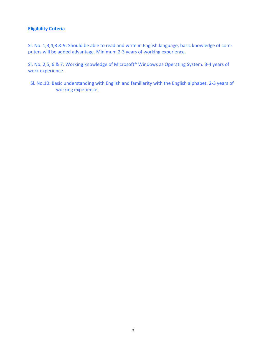Sl. No. 1,3,4,8 & 9: Should be able to read and write in English language, basic knowledge of computers will be added advantage. Minimum 2-3 years of working experience.

Sl. No. 2,5, 6 & 7: Working knowledge of Microsoft® Windows as Operating System. 3-4 years of work experience.

 Sl. No.10: Basic understanding with English and familiarity with the English alphabet. 2-3 years of working experience.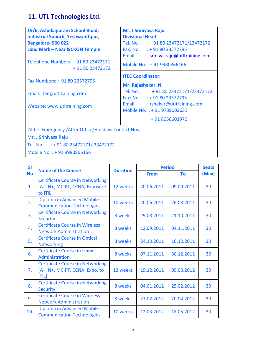## **11. UTL Technologies Ltd.**

| 19/6, Ashokapuram School Road,                         | Mr. J Srinivasa Raju                    |  |  |  |  |
|--------------------------------------------------------|-----------------------------------------|--|--|--|--|
| <b>Industrial Suburb, Yeshwanthpur,</b>                | <b>Divisional Head</b>                  |  |  |  |  |
| Bangalore-560022                                       | Tel. No. $\div$ 91 80 23472171/23472172 |  |  |  |  |
| <b>Land Mark - Near ISCKON Temple</b>                  | Fax: No. : +91 80 23572795              |  |  |  |  |
|                                                        | Email<br>: srinivasraju@utltraining.com |  |  |  |  |
| Telephone Numbers: + 91 80 23472171<br>+91 80 23472172 | Mobile No.: +91 9980866166              |  |  |  |  |
|                                                        | <b>ITEC Coordinator:</b>                |  |  |  |  |
| Fax Numbers: +91 80 23572795                           |                                         |  |  |  |  |
|                                                        | Mr. Rajashekar. N                       |  |  |  |  |
| Email: itec@utltraining.com                            | Tel. No. : +91 80 23472171/23472172     |  |  |  |  |
|                                                        | Fax: No. $: +918023572795$              |  |  |  |  |
| Website: www.utltraining.com                           | : rshekar@utltraining.com<br>Email      |  |  |  |  |
|                                                        | Mobile No. : + 91 9739002631            |  |  |  |  |
|                                                        | +91 8050603976                          |  |  |  |  |
| 24 hrs Emergency / After Office/Holidays Contact Nos.  |                                         |  |  |  |  |
| Mr. J Srinivasa Raju                                   |                                         |  |  |  |  |
| Tel. No. : + 91 80 23472171/ 23472172                  |                                         |  |  |  |  |

Mobile No. : + 91 9980866166

| <b>SI</b>      | <b>Name of the Course</b>                                                                 | <b>Duration</b> | <b>Period</b> |            | <b>Seats</b> |
|----------------|-------------------------------------------------------------------------------------------|-----------------|---------------|------------|--------------|
| <b>No</b>      |                                                                                           |                 | <b>From</b>   | To         | (Max)        |
| 1.             | <b>Certificate Course in Networking</b><br>[A+, N+, MCIPT, CCNA, Exposure<br>to ITIL]     | 12 weeks        | 20.06.2011    | 09.09.2011 | 30           |
| 2.             | Diploma in Advanced Mobile<br><b>Communication Technologies</b>                           | 10 weeks        | 20.06.2011    | 26.08.2011 | 30           |
| 3.             | <b>Certificate Course in Networking</b><br><b>Security</b>                                | 8 weeks         | 29.08.2011    | 21.10.2011 | 30           |
| 4.             | <b>Certificate Course in Wireless</b><br><b>Network Administration</b>                    | 8 weeks         | 12.09.2011    | 04.11.2011 | 30           |
| 5.             | <b>Certificate Course in Optical</b><br><b>Networking</b>                                 | 8 weeks         | 24.10.2011    | 16.12.2011 | 30           |
| 6.             | <b>Certificate Course in Linux</b><br>Administration                                      | 8 weeks         | 07.11.2011    | 30.12.2011 | 30           |
| 7 <sub>1</sub> | <b>Certificate Course in Networking</b><br>[A+, N+, MCIPT, CCNA, Expo. to<br><b>ITILI</b> | 12 weeks        | 19.12.2011    | 09.03.2012 | 30           |
| 8.             | <b>Certificate Course in Networking</b><br><b>Security</b>                                | 8 weeks         | 04.01.2012    | 25.02.2012 | 30           |
| 9.             | <b>Certificate Course in Wireless</b><br><b>Network Administration</b>                    | 8 weeks         | 27.02.2012    | 20.04.2012 | 30           |
| 10.            | Diploma in Advanced Mobile<br><b>Communication Technologies</b>                           | 10 weeks        | 12.03.2012    | 18.05.2012 | 30           |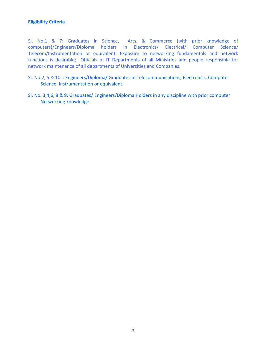Sl. No.1 & 7: Graduates in Science, Arts, & Commerce (with prior knowledge of computers)/Engineers/Diploma holders in Electronics/ Electrical/ Computer Science/ Telecom/Instrumentation or equivalent. Exposure to networking fundamentals and network functions is desirable; Officials of IT Departments of all Ministries and people responsible for network maintenance of all departments of Universities and Companies.

- Sl. No.2, 5 & 10 : Engineers/Diploma/ Graduates in Telecommunications, Electronics, Computer Science, Instrumentation or equivalent.
- Sl. No. 3,4,6, 8 & 9: Graduates/ Engineers/Diploma Holders in any discipline with prior computer Networking knowledge.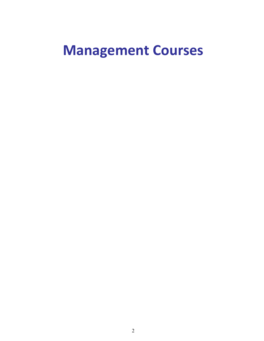## **Management Courses**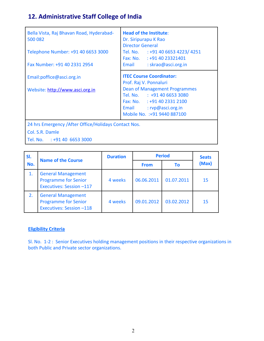## **12. Administrative Staff College of India**

| Bella Vista, Raj Bhavan Road, Hyderabad-<br>500 082   | <b>Head of the Institute:</b><br>Dr. Siripurapu K Rao<br><b>Director General</b>                                                                              |
|-------------------------------------------------------|---------------------------------------------------------------------------------------------------------------------------------------------------------------|
| Telephone Number: +91 40 6653 3000                    | Tel. No. : +91 40 6653 4223/ 4251                                                                                                                             |
|                                                       | Fax: No. : +91 40 23321401                                                                                                                                    |
| Fax Number: +91 40 2331 2954                          | Email<br>: skrao@asci.org.in                                                                                                                                  |
| Email:poffice@asci.org.in                             | <b>ITEC Course Coordinator:</b><br>Prof. Raj V. Ponnaluri                                                                                                     |
| Website: http://www.asci.org.in                       | <b>Dean of Management Programmes</b><br>Tel. No. : +91 40 6653 3080<br>Fax: No. : +91 40 2331 2100<br>Email : rvp@asci.org.in<br>Mobile No. : +91 9440 887100 |
| 24 hrs Emergency / After Office/Holidays Contact Nos. |                                                                                                                                                               |
| Col. S.R. Damle                                       |                                                                                                                                                               |

Tel. No. : +91 40 6653 3000

| SI. | <b>Name of the Course</b>                                                            | <b>Duration</b> | <b>Period</b> |            | <b>Seats</b> |
|-----|--------------------------------------------------------------------------------------|-----------------|---------------|------------|--------------|
| No. |                                                                                      |                 | <b>From</b>   | To         | (Max)        |
| 1.  | <b>General Management</b><br><b>Programme for Senior</b><br>Executives: Session-117  | 4 weeks         | 06.06.2011    | 01.07.2011 | 15           |
| 2.  | <b>General Management</b><br><b>Programme for Senior</b><br>Executives: Session -118 | 4 weeks         | 09.01.2012    | 03.02.2012 | 15           |

#### **Eligibility Criteria**

Sl. No. 1-2 : Senior Executives holding management positions in their respective organizations in both Public and Private sector organizations.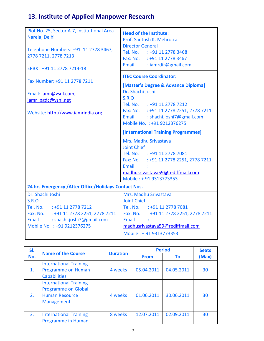## **13. Institute of Applied Manpower Research**

| Plot No. 25, Sector A-7, Institutional Area<br>Narela, Delhi<br>Telephone Numbers: +91 11 2778 3467,<br>2778 7211, 2778 7213<br>EPBX: +91 11 2778 7214-18                  | <b>Head of the Institute:</b><br>Prof. Santosh K. Mehrotra<br><b>Director General</b><br>Tel. No. : +91 11 2778 3468<br>Fax: No. : +91 11 2778 3467<br>Email : iamrdir@gmail.com                                                              |  |  |
|----------------------------------------------------------------------------------------------------------------------------------------------------------------------------|-----------------------------------------------------------------------------------------------------------------------------------------------------------------------------------------------------------------------------------------------|--|--|
| Fax Number: +91 11 2778 7211<br>Email: jamr@vsnl.com,<br>jamr pgdc@vsnl.net<br>Website: http://www.iamrindia.org                                                           | <b>ITEC Course Coordinator:</b><br>[Master's Degree & Advance Diploma]<br>Dr. Shachi Joshi<br>S.R.O<br>Tel. No. : +91 11 2778 7212<br>Fax: No. : +91 11 2778 2251, 2778 7211<br>Email: shachi.joshi7@gmail.com<br>Mobile No. : +91 9212376275 |  |  |
|                                                                                                                                                                            | [International Training Programmes]<br>Mrs. Madhu Srivastava<br><b>Joint Chief</b><br>Tel. No. : +91 11 2778 7081<br>Fax: No. : +91 11 2778 2251, 2778 7211<br>Email<br>madhusrivastava59@rediffmail.com<br>Mobile: +91 9313773353            |  |  |
| 24 hrs Emergency / After Office/Holidays Contact Nos.                                                                                                                      |                                                                                                                                                                                                                                               |  |  |
| Dr. Shachi Joshi<br><b>S.R.O</b><br>Tel. No. : +91 11 2778 7212<br>Fax: No. : +91 11 2778 2251, 2778 7211<br>Email: shachi.joshi7@gmail.com<br>Mobile No. : +91 9212376275 | Mrs. Madhu Srivastava<br><b>Joint Chief</b><br>Tel. No. : +91 11 2778 7081<br>Fax: No. : +91 11 2778 2251, 2778 7211<br>Email<br>madhusrivastava59@rediffmail.com<br>Mobile: +91 9313773353                                                   |  |  |

| SI. |                                                                                                    |                 | <b>Period</b> |            | <b>Seats</b> |
|-----|----------------------------------------------------------------------------------------------------|-----------------|---------------|------------|--------------|
| No. | <b>Name of the Course</b>                                                                          | <b>Duration</b> | <b>From</b>   | Τo         | (Max)        |
| 1.  | <b>International Training</b><br>Programme on Human<br><b>Capabilities</b>                         | 4 weeks         | 05.04.2011    | 04.05.2011 | 30           |
| 2.  | <b>International Training</b><br><b>Programme on Global</b><br><b>Human Resource</b><br>Management | 4 weeks         | 01.06.2011    | 30.06.2011 | 30           |
| 3.  | <b>International Training</b><br><b>Programme in Human</b>                                         | 8 weeks         | 12.07.2011    | 02.09.2011 | 30           |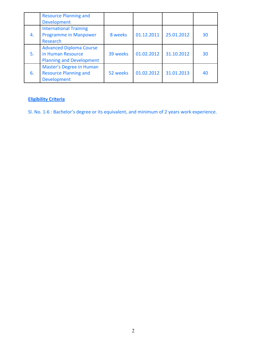|    | <b>Resource Planning and</b><br><b>Development</b>                                     |          |            |            |    |
|----|----------------------------------------------------------------------------------------|----------|------------|------------|----|
| 4. | <b>International Training</b><br><b>Programme in Manpower</b><br>Research              | 8 weeks  | 01.12.2011 | 25.01.2012 | 30 |
| 5. | <b>Advanced Diploma Course</b><br>in Human Resource<br><b>Planning and Development</b> | 39 weeks | 01.02.2012 | 31.10.2012 | 30 |
| 6. | Master's Degree in Human<br><b>Resource Planning and</b><br><b>Development</b>         | 52 weeks | 01.02.2012 | 31.01.2013 | 40 |

Sl. No. 1-6 : Bachelor's degree or its equivalent, and minimum of 2 years work experience.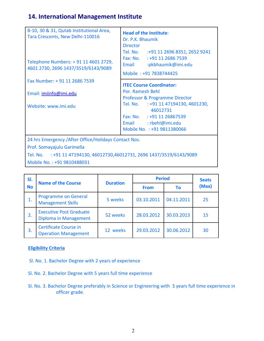## **14. International Management Institute**

| B-10, 30 & 31, Qutab Institutional Area,<br>Tara Crescents, New Delhi-110016<br>Telephone Numbers: + 91 11 4601 2729,<br>4601 2730, 2696 1437/3519/6143/9089 | <b>Head of the Institute:</b><br>Dr. P.K. Bhaumik<br><b>Director</b><br>Tel. No. :+91 11 2696 8351, 2652 9241<br>Fax: No. : +91 11 2686 7539<br>:pkbhaumik@imi.edu<br>Email<br>Mobile: +91 7838744425 |
|--------------------------------------------------------------------------------------------------------------------------------------------------------------|-------------------------------------------------------------------------------------------------------------------------------------------------------------------------------------------------------|
| Fax Number: +91 11 2686 7539<br>Email: imiinfo@imi.edu                                                                                                       | <b>ITEC Course Coordinator:</b><br>Por. Ramesh Behl<br>Professor & Programme Director                                                                                                                 |
| Website: www.imi.edu                                                                                                                                         | Tel. No. : +91 11 47194130, 4601230,<br>46012731<br>Fax: No. : +91 11 26867539<br>Email : rbehl@imi.edu<br>Mobile No.: +91 9811380066                                                                 |
| 24 hrs Emergency / After Office/Holidays Contact Nos.<br>Prof. Somayajulu Garimella                                                                          |                                                                                                                                                                                                       |

Tel. No. : +91 11 47194130, 46012730,46012731, 2696 1437/3519/6143/9089 Mobile No. : +91 9810488031

| SI.       | <b>Name of the Course</b>                                   | <b>Duration</b> | <b>Period</b> |            | <b>Seats</b> |
|-----------|-------------------------------------------------------------|-----------------|---------------|------------|--------------|
| <b>No</b> |                                                             |                 | <b>From</b>   | Τo         | (Max)        |
| 1.        | <b>Programme on General</b><br><b>Management Skills</b>     | 5 weeks         | 03.10.2011    | 04.11.2011 | 25           |
| 2.        | <b>Executive Post Graduate</b><br>Diploma in Management     | 52 weeks        | 28.03.2012    | 30.03.2013 | 15           |
| 3.        | <b>Certificate Course in</b><br><b>Operation Management</b> | 12 weeks        | 29.03.2012    | 30.06.2012 | 30           |

#### **Eligibility Criteria**

- Sl. No. 1. Bachelor Degree with 2 years of experience
- Sl. No. 2. Bachelor Degree with 5 years full time experience
- Sl. No. 3. Bachelor Degree preferably in Science or Engineering with 3 years full time experience in officer grade.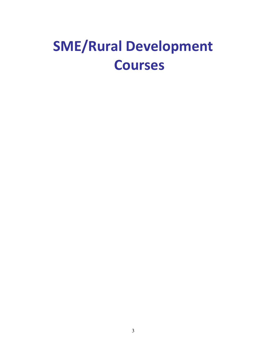## **SME/Rural Development Courses**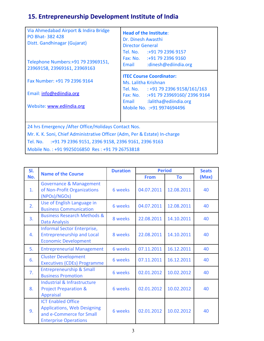## **15. Entrepreneurship Development Institute of India**

| Via Ahmedabad Airport & Indira Bridge<br><b>PO Bhat-382428</b><br>Distt. Gandhinagar (Gujarat)<br>Telephone Numbers: +91 79 23969151,<br>23969158, 23969161, 23969163                                                                                 | <b>Head of the Institute:</b><br>Dr. Dinesh Awasthi<br><b>Director General</b><br>Tel. No. :+91 79 2396 9157<br>Fax: No. :+91 79 2396 9160<br>:dinesh@ediindia.org<br>Email                          |  |  |  |
|-------------------------------------------------------------------------------------------------------------------------------------------------------------------------------------------------------------------------------------------------------|------------------------------------------------------------------------------------------------------------------------------------------------------------------------------------------------------|--|--|--|
| Fax Number: +91 79 2396 9164<br>Email: info@ediindia.org<br>Website: www.ediindia.org                                                                                                                                                                 | <b>ITEC Course Coordinator:</b><br>Ms. Lalitha Krishnan<br>Tel. No. : +91 79 2396 9158/161/163<br>Fax: No. : +91 79 23969160/2396 9164<br>Email :lalitha@ediindia.org<br>Mobile No. : +91 9974694496 |  |  |  |
| 24 hrs Emergency / After Office/Holidays Contact Nos.<br>Mr. K. K. Soni, Chief Administrative Officer (Adm, Per & Estate) In-charge<br>Tel. No. :+91 79 2396 9151, 2396 9158, 2396 9161, 2396 9163<br>Mobile No.: +91 9925016850 Res: +91 79 26753818 |                                                                                                                                                                                                      |  |  |  |

| SI.            | <b>Name of the Course</b>                                                                                                   | <b>Duration</b> | <b>Period</b> |            | <b>Seats</b> |
|----------------|-----------------------------------------------------------------------------------------------------------------------------|-----------------|---------------|------------|--------------|
| No.            |                                                                                                                             |                 | <b>From</b>   | To         | (Max)        |
| $\mathbf{1}$ . | <b>Governance &amp; Management</b><br>of Non-Profit Organizations<br>(NPOs)/NGOs)                                           | 6 weeks         | 04.07.2011    | 12.08.2011 | 40           |
| 2.             | Use of English Language in<br><b>Business Communication</b>                                                                 | 6 weeks         | 04.07.2011    | 12.08.2011 | 40           |
| 3.             | <b>Business Research Methods &amp;</b><br><b>Data Analysis</b>                                                              | 8 weeks         | 22.08.2011    | 14.10.2011 | 40           |
| 4.             | Informal Sector Enterprise,<br><b>Entrepreneurship and Local</b><br><b>Economic Development</b>                             | 8 weeks         | 22.08.2011    | 14.10.2011 | 40           |
| 5.             | <b>Entrepreneurial Management</b>                                                                                           | 6 weeks         | 07.11.2011    | 16.12.2011 | 40           |
| 6.             | <b>Cluster Development</b><br><b>Executives (CDEs) Programme</b>                                                            | 6 weeks         | 07.11.2011    | 16.12.2011 | 40           |
| 7.             | <b>Entrepreneurship &amp; Small</b><br><b>Business Promotion</b>                                                            | 6 weeks         | 02.01.2012    | 10.02.2012 | 40           |
| 8.             | Industrial & Infrastructure<br><b>Project Preparation &amp;</b><br><b>Appraisal</b>                                         | 6 weeks         | 02.01.2012    | 10.02.2012 | 40           |
| 9.             | <b>ICT Enabled Office</b><br><b>Applications, Web Designing</b><br>and e-Commerce for Small<br><b>Enterprise Operations</b> | 6 weeks         | 02.01.2012    | 10.02.2012 | 40           |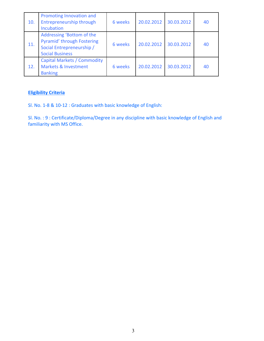| 10. | Promoting Innovation and<br><b>Entrepreneurship through</b><br>Incubation                                      | 6 weeks | 20.02.2012 | 30.03.2012 | 40 |
|-----|----------------------------------------------------------------------------------------------------------------|---------|------------|------------|----|
| 11. | Addressing 'Bottom of the<br>Pyramid' through Fostering<br>Social Entrepreneurship /<br><b>Social Business</b> | 6 weeks | 20.02.2012 | 30.03.2012 | 40 |
| 12. | <b>Capital Markets / Commodity</b><br><b>Markets &amp; Investment</b><br><b>Banking</b>                        | 6 weeks | 20.02.2012 | 30.03.2012 | 40 |

Sl. No. 1-8 & 10-12 : Graduates with basic knowledge of English:

Sl. No. : 9 : Certificate/Diploma/Degree in any discipline with basic knowledge of English and familiarity with MS Office.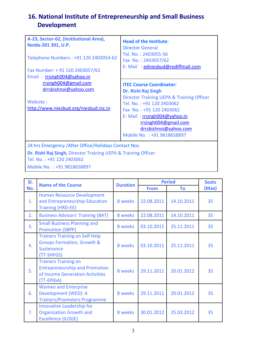## **16. National Institute of Entrepreneurship and Small Business Development**

| A-23, Sector-62, (Institutional Area),<br>Noida-201 301, U.P.<br>Telephone Numbers: +91 120 2403054-62<br>Fax Number: +91 120 2403057/62<br>Email: rrsingh004@yahoo.in | <b>Head of the Institute:</b><br><b>Director General</b><br>Tel. No.: 2403055-56<br>Fax No.: 2403057/62<br>E-Mail: edniesbud@rediffmail.com                                                                                                                                |  |  |  |
|------------------------------------------------------------------------------------------------------------------------------------------------------------------------|----------------------------------------------------------------------------------------------------------------------------------------------------------------------------------------------------------------------------------------------------------------------------|--|--|--|
| rrsingh004@gmail.com<br>drrsbishnoi@yahoo.com<br>Website:<br>http://www.niesbud.org/niesbud.nic.in                                                                     | <b>ITEC Course Coordinator:</b><br>Dr. Rishi Raj Singh<br>Director Training UEPA & Training Officer<br>Tel. No.: +91 120 2403062<br>Fax No.: +91 120 2403062<br>E-Mail: rsingh004@yahoo.in<br>rrsingh004@gmail.com<br>drrsbishnoi@yahoo.com<br>Mobile No. : +91 9818658897 |  |  |  |
| 24 hrs Emergency / After Office/Holidays Contact Nos.<br>Dr. Rishi Raj Singh, Director Training UEPA & Training Officer                                                |                                                                                                                                                                                                                                                                            |  |  |  |

Tel. No. : +91 120 2403062

Mobile No. : +91 9818658897

| SI. | <b>Name of the Course</b>                                                                                             | <b>Duration</b> | <b>Period</b> |            | <b>Seats</b> |
|-----|-----------------------------------------------------------------------------------------------------------------------|-----------------|---------------|------------|--------------|
| No. |                                                                                                                       |                 | <b>From</b>   | To         | (Max)        |
| 1.  | <b>Human Resource Development</b><br>and Entrepreneurship Education<br><b>Training (HRD-EE)</b>                       | 8 weeks         | 22.08.2011    | 14.10.2011 | 35           |
| 2.  | <b>Business Advisors' Training (BAT)</b>                                                                              | 8 weeks         | 22.08.2011    | 14.10.2011 | 35           |
| 3.  | <b>Small Business Planning and</b><br><b>Promotion (SBPP)</b>                                                         | 8 weeks         | 03.10.2011    | 25.11.2011 | 35           |
| 4.  | <b>Trainers Training on Self Help</b><br><b>Groups Formation, Growth &amp;</b><br><b>Sustenance</b><br>(TT-SHFGS)     | 8 weeks         | 03.10.2011    | 25.11.2011 | 35           |
| 5.  | <b>Trainers Training on</b><br><b>Entrepreneurship and Promotion</b><br>of Income Generation Activities<br>(TT-EPIGA) | 8 weeks         | 29.11.2011    | 20.01.2012 | 35           |
| 6.  | <b>Women and Enterprise</b><br>Development (WED): A<br><b>Trainers/Promoters Programme</b>                            | 8 weeks         | 29.11.2011    | 20.01.2012 | 35           |
| 7.  | Innovative Leadership for<br><b>Organization Growth and</b><br><b>Excellence (ILOGE)</b>                              | 8 weeks         | 30.01.2012    | 25.03.2012 | 35           |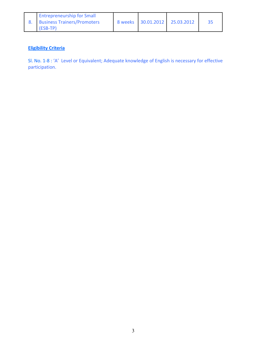| <b>Entrepreneurship for Small</b> |  |                               |  |
|-----------------------------------|--|-------------------------------|--|
| 8. Business Trainers/Promoters    |  | 8 weeks 30.01.2012 25.03.2012 |  |
| l (ESB-TP)                        |  |                               |  |

Sl. No. 1-8 : 'A' Level or Equivalent; Adequate knowledge of English is necessary for effective participation.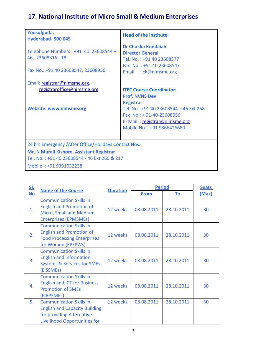## **17. National Institute of Micro Small & Medium Enterprises**

| Yousufguda,<br>Hyderabad-500045                                                                 | <b>Head of the Institute:</b>                                                                                                                       |  |  |  |
|-------------------------------------------------------------------------------------------------|-----------------------------------------------------------------------------------------------------------------------------------------------------|--|--|--|
| Telephone Numbers: +91 40 23608544 -<br>46, 23608316 - 18<br>Fax No.: +91 40 23608547, 23608956 | <b>Dr Chukka Kondaiah</b><br><b>Director General</b><br>Tel. No.: +91 40 23608577<br>Fax No.: +91 40 23608547<br>Email: ck@nimsme.org               |  |  |  |
| Email: registrar@nimsme.org,                                                                    |                                                                                                                                                     |  |  |  |
| registraroffice@nimsme.org                                                                      | <b>ITEC Course Coordinator:</b><br><b>Prof. NVNS Dev</b>                                                                                            |  |  |  |
| <b>Website: www.nimsme.org</b>                                                                  | <b>Registrar</b><br>Tel. No.: +91 40 23608544 - 46 Ext 258<br>Fax No: +91-40-23608956<br>E-Mail: registrar@nimsme.org<br>Mobile No.: +91 9866426680 |  |  |  |
| 24 hrs Emergency / After Office/Holidays Contact Nos.                                           |                                                                                                                                                     |  |  |  |
| Mr. N Murali Kishore, Assistant Registrar<br>Tel. No.: +91 40 23608544 - 46 Ext 260 & 217       |                                                                                                                                                     |  |  |  |
| Mobile: +91 9391032238                                                                          |                                                                                                                                                     |  |  |  |

| <u>SI.</u> | <b>Name of the Course</b>                                                                                                           | <b>Duration</b> | <b>Period</b> |            | <b>Seats</b> |
|------------|-------------------------------------------------------------------------------------------------------------------------------------|-----------------|---------------|------------|--------------|
| <b>No</b>  |                                                                                                                                     |                 | <b>From</b>   | <u>To</u>  | (Max)        |
| 1.         | <b>Communication Skills in</b><br><b>English and Promotion of</b><br>Micro, Small and Medium<br><b>Enterprises (EPMSMEs)</b>        | 12 weeks        | 08.08.2011    | 28.10.2011 | 30           |
| 2.         | <b>Communication Skills in</b><br><b>English and Promotion of</b><br><b>Food Processing Enterprises</b><br>for Women (EPFPWs)       | 12 weeks        | 08.08.2011    | 28.10.2011 | 30           |
| 3.         | <b>Communication Skills in</b><br><b>English and Information</b><br><b>Systems &amp; Services for SMEs</b><br>(EISSMEs)             | 12 weeks        | 08.08.2011    | 28.10.2011 | 30           |
| 4.         | <b>Communication Skills in</b><br><b>English and ICT for Business</b><br><b>Promotion of SMEs</b><br>(EIBPSMEs)                     | 12 weeks        | 08.08.2011    | 28.10.2011 | 30           |
| 5.         | <b>Communication Skills in</b><br><b>English and Capacity Building</b><br>for providing Alternative<br>Livelihood Opportunities for | 12 weeks        | 08.08.2011    | 28.10.2011 | 30           |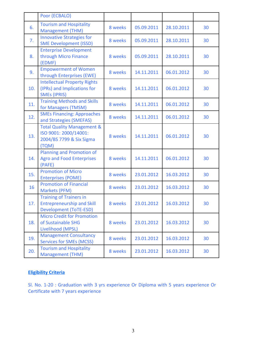|     | Poor (ECBALO)                                                                                       |         |            |            |    |
|-----|-----------------------------------------------------------------------------------------------------|---------|------------|------------|----|
| 6.  | <b>Tourism and Hospitality</b><br><b>Management (THM)</b>                                           | 8 weeks | 05.09.2011 | 28.10.2011 | 30 |
| 7.  | <b>Innovative Strategies for</b><br><b>SME Development (ISSD)</b>                                   | 8 weeks | 05.09.2011 | 28.10.2011 | 30 |
| 8.  | <b>Enterprise Development</b><br>through Micro Finance<br>(EDMF)                                    | 8 weeks | 05.09.2011 | 28.10.2011 | 30 |
| 9.  | <b>Empowerment of Women</b><br>through Enterprises (EWE)                                            | 8 weeks | 14.11.2011 | 06.01.2012 | 30 |
| 10. | <b>Intellectual Property Rights</b><br>(IPRs) and Implications for<br><b>SMEs (IPRIS)</b>           | 8 weeks | 14.11.2011 | 06.01.2012 | 30 |
| 11. | <b>Training Methods and Skills</b><br>for Managers (TMSM)                                           | 8 weeks | 14.11.2011 | 06.01.2012 | 30 |
| 12. | <b>SMEs Financing: Approaches</b><br>and Strategies (SMEFAS)                                        | 8 weeks | 14.11.2011 | 06.01.2012 | 30 |
| 13. | <b>Total Quality Management &amp;</b><br>ISO 9001: 2000/14001:<br>2004/BS 7799 & Six Sigma<br>(TQM) | 8 weeks | 14.11.2011 | 06.01.2012 | 30 |
| 14. | Planning and Promotion of<br><b>Agro and Food Enterprises</b><br>(PAFE)                             | 8 weeks | 14.11.2011 | 06.01.2012 | 30 |
| 15. | <b>Promotion of Micro</b><br><b>Enterprises (POME)</b>                                              | 8 weeks | 23.01.2012 | 16.03.2012 | 30 |
| 16  | <b>Promotion of Financial</b><br>Markets (PFM)                                                      | 8 weeks | 23.01.2012 | 16.03.2012 | 30 |
| 17. | <b>Training of Trainers in</b><br><b>Entrepreneurship and Skill</b><br>Development (ToTE-ESD)       | 8 weeks | 23.01.2012 | 16.03.2012 | 30 |
| 18. | <b>Micro Credit for Promotion</b><br>of Sustainable SHG<br>Livelihood (MPSL)                        | 8 weeks | 23.01.2012 | 16.03.2012 | 30 |
| 19. | <b>Management Consultancy</b><br><b>Services for SMEs (MCSS)</b>                                    | 8 weeks | 23.01.2012 | 16.03.2012 | 30 |
| 20. | <b>Tourism and Hospitality</b><br><b>Management (THM)</b>                                           | 8 weeks | 23.01.2012 | 16.03.2012 | 30 |

Sl. No. 1-20 : Graduation with 3 yrs experience Or Diploma with 5 years experience Or Certificate with 7 years experience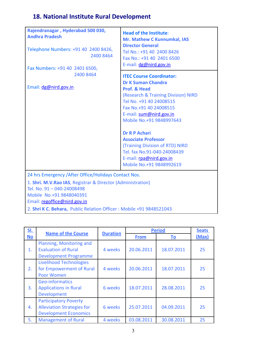# **18. National Institute Rural Development**

| Rajendranagar, Hyderabad 500 030,<br><b>Andhra Pradesh</b><br>Telephone Numbers: +91 40 2400 8426,<br>2400 8464<br>Fax Numbers: +91 40 2401 6500,<br>2400 8464<br>Email: dg@nird.gov.in                      | <b>Head of the Institute:</b><br>Mr. Mathew C Kunnumkal, IAS<br><b>Director General</b><br>Tel No.: +91 40 2400 8426<br>Fax No.: +91 40 2401 6500<br>E-mail: dg@nird.gov.in<br><b>ITEC Course Coordinator:</b><br><b>Dr K Suman Chandra</b><br><b>Prof. &amp; Head</b><br>(Research & Training Division) NIRD<br>Tel No. +91 40 24008515<br>Fax No.+91 40 24008515<br>E-mail: sum@nird.gov.in<br>Mobile No.+91 9848997643<br><b>Dr R P Achari</b><br><b>Associate Professor</b><br>(Training Division of RTD) NIRD<br>Tel. fax No.91-040-24008439<br>E-mail: rpa@nird.gov.in |
|--------------------------------------------------------------------------------------------------------------------------------------------------------------------------------------------------------------|------------------------------------------------------------------------------------------------------------------------------------------------------------------------------------------------------------------------------------------------------------------------------------------------------------------------------------------------------------------------------------------------------------------------------------------------------------------------------------------------------------------------------------------------------------------------------|
|                                                                                                                                                                                                              | Mobile No.+91 9848992619                                                                                                                                                                                                                                                                                                                                                                                                                                                                                                                                                     |
| 24 hrs Emergency / After Office/Holidays Contact Nos.<br>1. Shri. M.V.Rao IAS, Registrar & Director (Administration)<br>Tel. No. 91-040-24008498<br>Mobile No.+91 9848040391<br>Email: regoffice@nird.gov.in |                                                                                                                                                                                                                                                                                                                                                                                                                                                                                                                                                                              |

2. **Shri K C. Behara,** Public Relation Officer : Mobile +91 9848521043

| <u>SI.</u> |                                                                                                   |                 | <b>Period</b> |            | <b>Seats</b> |
|------------|---------------------------------------------------------------------------------------------------|-----------------|---------------|------------|--------------|
| <b>No</b>  | <b>Name of the Course</b>                                                                         | <b>Duration</b> | <b>From</b>   | <b>To</b>  | (Max)        |
| 1.         | Planning, Monitoring and<br><b>Evaluation of Rural</b><br><b>Development Programme</b>            | 4 weeks         | 20.06.2011    | 18.07.2011 | 25           |
| 2.         | <b>Livelihood Technologies</b><br>for Empowerment of Rural<br><b>Poor Women</b>                   | 4 weeks         | 20.06.2011    | 18.07.2011 | 25           |
| 3.         | Geo-informatics<br><b>Applications in Rural</b><br><b>Development</b>                             | 6 weeks         | 18.07.2011    | 28.08.2011 | 25           |
| 4.         | <b>Participatory Poverty</b><br><b>Alleviation Strategies for</b><br><b>Development Economics</b> | 6 weeks         | 25.07.2011    | 04.09.2011 | 25           |
| 5.         | <b>Management of Rural</b>                                                                        | 4 weeks         | 03.08.2011    | 30.08.2011 | 25           |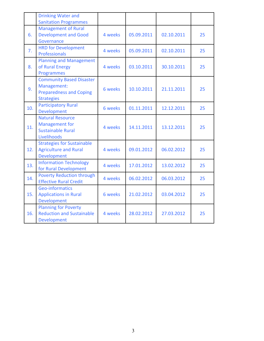|     | <b>Drinking Water and</b><br><b>Sanitation Programmes</b>                                             |         |            |            |    |
|-----|-------------------------------------------------------------------------------------------------------|---------|------------|------------|----|
| 6.  | <b>Management of Rural</b><br><b>Development and Good</b><br>Governance                               | 4 weeks | 05.09.2011 | 02.10.2011 | 25 |
| 7.  | <b>HRD for Development</b><br>Professionals                                                           | 4 weeks | 05.09.2011 | 02.10.2011 | 25 |
| 8.  | <b>Planning and Management</b><br>of Rural Energy<br><b>Programmes</b>                                | 4 weeks | 03.10.2011 | 30.10.2011 | 25 |
| 9.  | <b>Community Based Disaster</b><br>Management:<br><b>Preparedness and Coping</b><br><b>Strategies</b> | 6 weeks | 10.10.2011 | 21.11.2011 | 25 |
| 10. | <b>Participatory Rural</b><br>Development                                                             | 6 weeks | 01.11.2011 | 12.12.2011 | 25 |
| 11. | <b>Natural Resource</b><br><b>Management for</b><br><b>Sustainable Rural</b><br>Livelihoods           | 4 weeks | 14.11.2011 | 13.12.2011 | 25 |
| 12. | <b>Strategies for Sustainable</b><br><b>Agriculture and Rural</b><br>Development                      | 4 weeks | 09.01.2012 | 06.02.2012 | 25 |
| 13. | <b>Information Technology</b><br>for Rural Development                                                | 4 weeks | 17.01.2012 | 13.02.2012 | 25 |
| 14. | <b>Poverty Reduction through</b><br><b>Effective Rural Credit</b>                                     | 4 weeks | 06.02.2012 | 06.03.2012 | 25 |
| 15. | <b>Geo-informatics</b><br><b>Applications in Rural</b><br>Development                                 | 6 weeks | 21.02.2012 | 03.04.2012 | 25 |
| 16. | <b>Planning for Poverty</b><br><b>Reduction and Sustainable</b><br>Development                        | 4 weeks | 28.02.2012 | 27.03.2012 | 25 |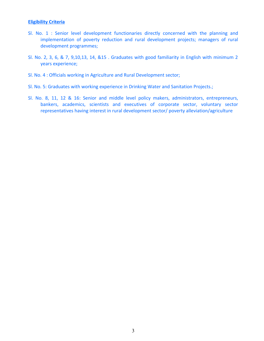- Sl. No. 1 : Senior level development functionaries directly concerned with the planning and implementation of poverty reduction and rural development projects; managers of rural development programmes;
- Sl. No. 2, 3, 6, & 7, 9,10,13, 14, &15 . Graduates with good familiarity in English with minimum 2 years experience;
- Sl. No. 4 : Officials working in Agriculture and Rural Development sector;
- Sl. No. 5: Graduates with working experience in Drinking Water and Sanitation Projects.;
- Sl. No. 8, 11, 12 & 16: Senior and middle level policy makers, administrators, entrepreneurs, bankers, academics, scientists and executives of corporate sector, voluntary sector representatives having interest in rural development sector/ poverty alleviation/agriculture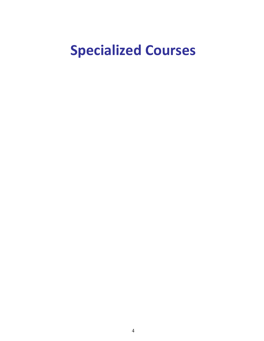# **Specialized Courses**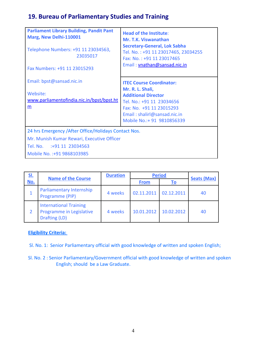# **19. Bureau of Parliamentary Studies and Training**

| <b>Parliament Library Building, Pandit Pant</b><br>Marg, New Delhi-110001<br>Telephone Numbers: +91 11 23034563,<br>23035017<br>Fax Numbers: +91 11 23015293 | <b>Head of the Institute:</b><br>Mr. T.K. Viswanathan<br><b>Secretary-General, Lok Sabha</b><br>Tel. No.: +91 11 23017465, 23034255<br>Fax: No.: +91 11 23017465<br>Email: vnathan@sansad.nic.in |
|--------------------------------------------------------------------------------------------------------------------------------------------------------------|--------------------------------------------------------------------------------------------------------------------------------------------------------------------------------------------------|
| Email: bpst@sansad.nic.in                                                                                                                                    | <b>ITEC Course Coordinator:</b><br>Mr. R. L. Shali,                                                                                                                                              |
| Website:<br>www.parliamentofindia.nic.in/bpst/bpst.ht<br>m                                                                                                   | <b>Additional Director</b><br>Tel. No.: +91 11 23034656<br>Fax: No. +91 11 23015293<br>Email: shalirl@sansad.nic.in<br>Mobile No.: + 91 9810856339                                               |
| 24 hrs Emergency / After Office/Holidays Contact Nos.<br>Mr. Munish Kumar Rewari, Executive Officer                                                          |                                                                                                                                                                                                  |
| Tel. No. :+91 11 23034563                                                                                                                                    |                                                                                                                                                                                                  |
| Mobile No. : +91 9868103985                                                                                                                                  |                                                                                                                                                                                                  |

| <u>SI.</u> | <b>Name of the Course</b>                                                  | <b>Duration</b> | <b>Period</b> |            | <b>Seats (Max)</b> |
|------------|----------------------------------------------------------------------------|-----------------|---------------|------------|--------------------|
| No.        |                                                                            |                 | <b>From</b>   | Τo         |                    |
|            | Parliamentary Internship<br>Programme (PIP)                                | 4 weeks         | 02.11.2011    | 02.12.2011 | 40                 |
|            | <b>International Training</b><br>Programme in Legislative<br>Drafting (LD) | 4 weeks         | 10.01.2012    | 10.02.2012 | 40                 |

### **Eligibility Criteria:**

- Sl. No. 1: Senior Parliamentary official with good knowledge of written and spoken English;
- Sl. No. 2 : Senior Parliamentary/Government official with good knowledge of written and spoken English; should be a Law Graduate.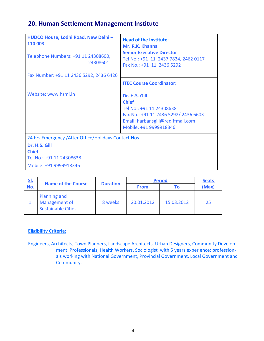### **20. Human Settlement Management Institute**

| HUDCO House, Lodhi Road, New Delhi -<br>110 003<br>Telephone Numbers: +91 11 24308600,<br>24308601<br>Fax Number: +91 11 2436 5292, 2436 6426 | <b>Head of the Institute:</b><br>Mr. R.K. Khanna<br><b>Senior Executive Director</b><br>Tel No.: +91 11 2437 7834, 2462 0117<br>Fax No.: +91 11 2436 5292        |
|-----------------------------------------------------------------------------------------------------------------------------------------------|------------------------------------------------------------------------------------------------------------------------------------------------------------------|
|                                                                                                                                               | <b>ITEC Course Coordinator:</b>                                                                                                                                  |
| Website: www.hsmi.in                                                                                                                          | Dr. H.S. Gill<br><b>Chief</b><br>Tel No.: +91 11 24308638<br>Fax No.: +91 11 2436 5292/ 2436 6603<br>Email: harbansgill@rediffmail.com<br>Mobile: +91 9999918346 |
| 24 hrs Emergency / After Office/Holidays Contact Nos.                                                                                         |                                                                                                                                                                  |
| Dr. H.S. Gill<br><b>Chief</b>                                                                                                                 |                                                                                                                                                                  |
| Tel No.: +91 11 24308638                                                                                                                      |                                                                                                                                                                  |
| Mobile: +91 9999918346                                                                                                                        |                                                                                                                                                                  |

| <u>SI.</u> | <b>Name of the Course</b>                                         |                 | <b>Period</b> |            | <b>Seats</b> |
|------------|-------------------------------------------------------------------|-----------------|---------------|------------|--------------|
| <u>No.</u> |                                                                   | <b>Duration</b> | <b>From</b>   |            | (Max)        |
|            | <b>Planning and</b><br>Management of<br><b>Sustainable Cities</b> | 8 weeks         | 20.01.2012    | 15.03.2012 | 25           |

### **Eligibility Criteria:**

Engineers, Architects, Town Planners, Landscape Architects, Urban Designers, Community Development Professionals, Health Workers, Sociologist with 5 years experience; professionals working with National Government, Provincial Government, Local Government and Community.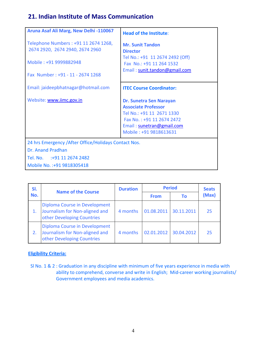### **21. Indian Institute of Mass Communication**

| <b>Head of the Institute:</b>                                                                                                                                          |
|------------------------------------------------------------------------------------------------------------------------------------------------------------------------|
| <b>Mr. Sunit Tandon</b><br><b>Director</b><br>Tel No.: +91 11 2674 2492 (Off)<br>Fax No.: +91 11 264 1532<br>Email: sunit.tandon@gmail.com                             |
| <b>ITEC Course Coordinator:</b>                                                                                                                                        |
| Dr. Sunetra Sen Narayan<br><b>Associate Professor</b><br>Tel No.: +91 11 2671 1330<br>Fax No.: +91 11 2674 2472<br>Email: sunetran@gmail.com<br>Mobile: +91 9818613631 |
| 24 hrs Emergency / After Office/Holidays Contact Nos.                                                                                                                  |
|                                                                                                                                                                        |
|                                                                                                                                                                        |

| SI. | <b>Name of the Course</b>                                                                     | <b>Duration</b> | <b>Period</b> |            | <b>Seats</b> |  |
|-----|-----------------------------------------------------------------------------------------------|-----------------|---------------|------------|--------------|--|
| No. |                                                                                               |                 | <b>From</b>   | Τo         | (Max)        |  |
|     | Diploma Course in Development<br>Journalism for Non-aligned and<br>other Developing Countries | 4 months        | 01.08.2011    | 30.11.2011 | 25           |  |
| 2.  | Diploma Course in Development<br>Journalism for Non-aligned and<br>other Developing Countries | 4 months        | 02.01.2012    | 30.04.2012 | 25           |  |

### **Eligibility Criteria:**

 Sl No. 1 & 2 : Graduation in any discipline with minimum of five years experience in media with ability to comprehend, converse and write in English; Mid-career working journalists/ Government employees and media academics.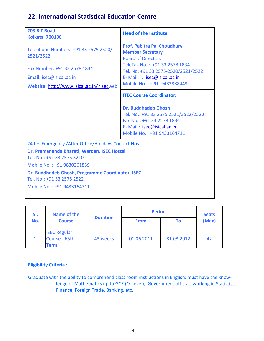### **22. International Statistical Education Centre**

| <b>203 B T Road,</b><br><b>Kolkata 700108</b>                                                                                                              | <b>Head of the Institute:</b>                                                                                                                                                                                                 |
|------------------------------------------------------------------------------------------------------------------------------------------------------------|-------------------------------------------------------------------------------------------------------------------------------------------------------------------------------------------------------------------------------|
| Telephone Numbers: +91 33 2575 2520/<br>2521/2522<br>Fax Number: +91 33 2578 1834<br>Email: isec@isical.ac.in<br>Website: http://www.isical.ac.in/~isecweb | <b>Prof. Pabitra Pal Choudhury</b><br><b>Member Secretary</b><br><b>Board of Directors</b><br>TeleFax No.: +91 33 2578 1834<br>Tel. No. +91 33 2575-2520/2521/2522<br>E-Mail: isec@isical.ac.in<br>Mobile No.: +91 9433388449 |
|                                                                                                                                                            | <b>ITEC Course Coordinator:</b>                                                                                                                                                                                               |
|                                                                                                                                                            | <b>Dr. Buddhadeb Ghosh</b><br>Tel. No.: +91 33 2575 2521/2522/2520<br>Fax No.: +91 33 2578 1834<br>E-Mail: isec@isical.ac.in<br>Mobile No.: +91 9433164711                                                                    |
| 24 hrs Emergency / After Office/Holidays Contact Nos.                                                                                                      |                                                                                                                                                                                                                               |
| Dr. Premananda Bharati, Warden, ISEC Hostel<br>Tel. No.: +91 33 2575 3210                                                                                  |                                                                                                                                                                                                                               |
| Mobile No.: +91 9830261859<br>Dr. Buddhadeb Ghosh, Programme Coordinator, ISEC<br>Tel. No.: +91 33 2575 2522<br>Mobile No.: +91 9433164711                 |                                                                                                                                                                                                                               |

| SI. | <b>Name of the</b>                           |                 |             | <b>Period</b> |       |  |
|-----|----------------------------------------------|-----------------|-------------|---------------|-------|--|
| No. | <b>Course</b>                                | <b>Duration</b> | <b>From</b> | Τo            | (Max) |  |
|     | <b>ISEC Regular</b><br>Course - 65th<br>Term | 43 weeks        | 01.06.2011  | 31.03.2012    | 42    |  |

### **Eligibility Criteria :**

Graduate with the ability to comprehend class room instructions in English; must have the knowledge of Mathematics up to GCE (O-Level); Government officials working in Statistics, Finance, Foreign Trade, Banking, etc.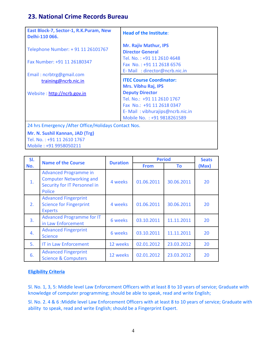### **23. National Crime Records Bureau**

| East Block-7, Sector-1, R.K.Puram, New<br>Delhi-110 066. | <b>Head of the Institute:</b>                                                           |
|----------------------------------------------------------|-----------------------------------------------------------------------------------------|
| Telephone Number: + 91 11 26101767                       | <b>Mr. Rajiv Mathur, IPS</b><br><b>Director General</b>                                 |
| Fax Number: +91 11 26180347                              | Tel. No.: +91 11 2610 4648<br>Fax No.: +91 11 2618 6576<br>E-Mail: director@ncrb.nic.in |
| Email: ncrbtrg@gmail.com                                 |                                                                                         |
| training@ncrb.nic.in                                     | <b>ITEC Course Coordinator:</b><br>Mrs. Vibhu Raj, IPS                                  |
| Website: http://ncrb.gov.in                              | <b>Deputy Director</b><br>Tel. No.: +91 11 2610 1767<br>Fax No.: +91 11 2618 0347       |
|                                                          | E-Mail: vibhurajips@ncrb.nic.in<br>Mobile No. : +91 9818261589                          |
| 24 hrs Emergency / After Office/Holidays Contact Nos.    |                                                                                         |
| Mr. N. Sushil Kannan, JAD (Trg)                          |                                                                                         |
| Tel. No.: +91 11 2610 1767                               |                                                                                         |
| Mobile: +91 9958050211                                   |                                                                                         |

| SI. | <b>Name of the Course</b>                                                                                       |          | <b>Period</b><br><b>Duration</b> |            |       |
|-----|-----------------------------------------------------------------------------------------------------------------|----------|----------------------------------|------------|-------|
| No. |                                                                                                                 |          | <b>From</b>                      | Τo         | (Max) |
| 1.  | <b>Advanced Programme in</b><br><b>Computer Networking and</b><br>Security for IT Personnel in<br><b>Police</b> | 4 weeks  | 01.06.2011                       | 30.06.2011 | 20    |
| 2.  | <b>Advanced Fingerprint</b><br><b>Science for Fingerprint</b><br><b>Experts</b>                                 | 4 weeks  | 01.06.2011                       | 30.06.2011 | 20    |
| 3.  | <b>Advanced Programme for IT</b><br>in Law Enforcement                                                          | 6 weeks  | 03.10.2011                       | 11.11.2011 | 20    |
| 4.  | <b>Advanced Fingerprint</b><br><b>Science</b>                                                                   | 6 weeks  | 03.10.2011                       | 11.11.2011 | 20    |
| 5.  | <b>IT in Law Enforcement</b>                                                                                    | 12 weeks | 02.01.2012                       | 23.03.2012 | 20    |
| 6.  | <b>Advanced Fingerprint</b><br><b>Science &amp; Computers</b>                                                   | 12 weeks | 02.01.2012                       | 23.03.2012 | 20    |

### **Eligibility Criteria**

Sl. No. 1, 3, 5: Middle level Law Enforcement Officers with at least 8 to 10 years of service; Graduate with knowledge of computer programming; should be able to speak, read and write English;

Sl. No. 2. 4 & 6 :Middle level Law Enforcement Officers with at least 8 to 10 years of service; Graduate with ability to speak, read and write English; should be a Fingerprint Expert.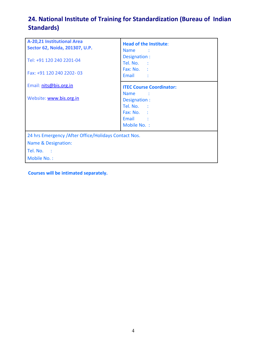# **24. National Institute of Training for Standardization (Bureau of Indian Standards)**

| A-20,21 Institutional Area<br>Sector 62, Noida, 201307, U.P.<br>Tel: +91 120 240 2201-04<br>Fax: +91 120 240 2202-03 | <b>Head of the Institute:</b><br>Name.<br>and a b<br>Designation :<br>Tel. No. :<br>Fax: No. :<br>Email :                       |  |  |  |
|----------------------------------------------------------------------------------------------------------------------|---------------------------------------------------------------------------------------------------------------------------------|--|--|--|
| Email: nits@bis.org.in                                                                                               | <b>ITEC Course Coordinator:</b>                                                                                                 |  |  |  |
| Website: www.bis.org.in                                                                                              | <b>Name</b><br>$\sim$ $\sim$ $\sim$ $\sim$ $\sim$ $\sim$<br>Designation :<br>Tel. No. :<br>Fax: No. :<br>Email :<br>Mobile No.: |  |  |  |
| 24 hrs Emergency / After Office/Holidays Contact Nos.                                                                |                                                                                                                                 |  |  |  |
| Name & Designation:                                                                                                  |                                                                                                                                 |  |  |  |
| Tel. No. :                                                                                                           |                                                                                                                                 |  |  |  |
| Mobile No.:                                                                                                          |                                                                                                                                 |  |  |  |

**Courses will be intimated separately.**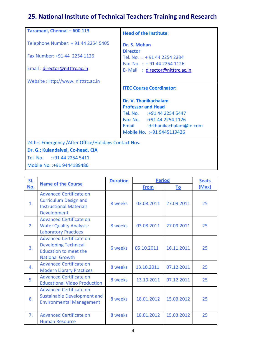# **25. National Institute of Technical Teachers Training and Research**

| Taramani, Chennai - 600 113                           | <b>Head of the Institute:</b>                          |
|-------------------------------------------------------|--------------------------------------------------------|
| Telephone Number: + 91 44 2254 5405                   | Dr. S. Mohan                                           |
| Fax Number: +91 44 2254 1126                          | <b>Director</b>                                        |
|                                                       | Tel. No.: +91 44 2254 2334<br>Fax No.: $+914422541126$ |
| Email: director@nitttrc.ac.in                         | E-Mail: director@nitttrc.ac.in                         |
|                                                       |                                                        |
| Website:Http://www.nitttrc.ac.in                      | <b>ITEC Course Coordinator:</b>                        |
|                                                       |                                                        |
|                                                       | Dr. V. Thanikachalam                                   |
|                                                       | <b>Professor and Head</b>                              |
|                                                       | Tel. No. :+91 44 2254 5447                             |
|                                                       | Fax: No. :+91 44 2254 1126                             |
|                                                       | Email :drthanikachalam@in.com                          |
|                                                       | Mobile No. : +91 9445119426                            |
| 24 hrs Emergency / After Office/Holidays Contact Nos. |                                                        |
| Dr. G.; Kulandaivel, Co-head, CIA                     |                                                        |

Tel. No. :+91 44 2254 5411

Mobile No. :+91 9444189486

| <u>SI.</u>     |                                                                                                                         | <b>Duration</b> | <b>Period</b> |            | <b>Seats</b> |
|----------------|-------------------------------------------------------------------------------------------------------------------------|-----------------|---------------|------------|--------------|
| No.            | <b>Name of the Course</b>                                                                                               |                 | <b>From</b>   | <u>To</u>  | (Max)        |
| 1.             | <b>Advanced Certificate on</b><br><b>Curriculum Design and</b><br><b>Instructional Materials</b><br>Development         | 8 weeks         | 03.08.2011    | 27.09.2011 | 25           |
| 2.             | <b>Advanced Certificate on</b><br><b>Water Quality Analysis:</b><br><b>Laboratory Practices</b>                         | 8 weeks         | 03.08.2011    | 27.09.2011 | 25           |
| 3 <sub>1</sub> | <b>Advanced Certificate on</b><br><b>Developing Technical</b><br><b>Education to meet the</b><br><b>National Growth</b> | 6 weeks         | 05.10.2011    | 16.11.2011 | 25           |
| 4.             | <b>Advanced Certificate on</b><br><b>Modern Library Practices</b>                                                       | 8 weeks         | 13.10.2011    | 07.12.2011 | 25           |
| 5.             | <b>Advanced Certificate on</b><br><b>Educational Video Production</b>                                                   | 8 weeks         | 13.10.2011    | 07.12.2011 | 25           |
| 6.             | <b>Advanced Certificate on</b><br><b>Sustainable Development and</b><br><b>Environmental Management</b>                 | 8 weeks         | 18.01.2012    | 15.03.2012 | 25           |
| 7 <sub>1</sub> | <b>Advanced Certificate on</b><br><b>Human Resource</b>                                                                 | 8 weeks         | 18.01.2012    | 15.03.2012 | 25           |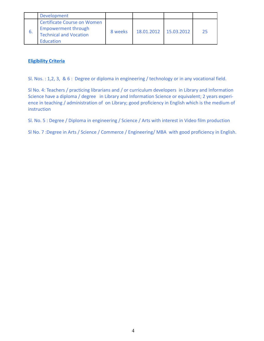|    | <b>Development</b>                                                                                             |         |            |            |    |
|----|----------------------------------------------------------------------------------------------------------------|---------|------------|------------|----|
| b. | <b>Certificate Course on Women</b><br><b>Empowerment through</b><br>Technical and Vocation<br><b>Education</b> | 8 weeks | 18.01.2012 | 15.03.2012 | 25 |

Sl. Nos. : 1,2, 3, & 6 : Degree or diploma in engineering / technology or in any vocational field.

Sl No. 4: Teachers / practicing librarians and / or curriculum developers in Library and Information Science have a diploma / degree in Library and Information Science or equivalent; 2 years experience in teaching / administration of on Library; good proficiency in English which is the medium of instruction

Sl. No. 5 : Degree / Diploma in engineering / Science / Arts with interest in Video film production

Sl No. 7 :Degree in Arts / Science / Commerce / Engineering/ MBA with good proficiency in English.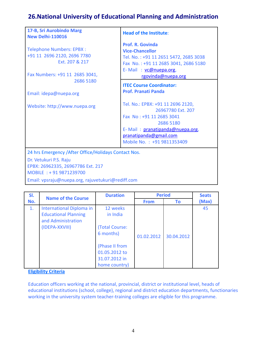### **26.National University of Educational Planning and Administration**

| 17-B, Sri Aurobindo Marg<br><b>New Delhi-110016</b>                                                                                            | <b>Head of the Institute:</b>                                                                                                                                                              |  |  |  |
|------------------------------------------------------------------------------------------------------------------------------------------------|--------------------------------------------------------------------------------------------------------------------------------------------------------------------------------------------|--|--|--|
| <b>Telephone Numbers: EPBX:</b><br>+91 11 2696 2120, 2696 7780<br>Ext. 207 & 217<br>Fax Numbers: +91 11 2685 3041,                             | Prof. R. Govinda<br><b>Vice-Chancellor</b><br>Tel. No.: +91 11 2651 5472, 2685 3038<br>Fax No.: +91 11 2685 3041, 2686 5180<br>E-Mail: vc@nuepa.org,<br>rgovinda@nuepa.org                 |  |  |  |
| 2686 5180<br>Email: idepa@nuepa.org                                                                                                            | <b>ITEC Course Coordinator:</b><br><b>Prof. Pranati Panda</b>                                                                                                                              |  |  |  |
| Website: http://www.nuepa.org                                                                                                                  | Tel. No.: EPBX: +91 11 2696 2120,<br>26967780 Ext. 207<br>Fax No: +91 11 2685 3041<br>2686 5180<br>E-Mail: pranatipanda@nuepa.org,<br>pranatipanda@gmail.com<br>Mobile No.: +91 9811353409 |  |  |  |
| 24 hrs Emergency / After Office/Holidays Contact Nos.<br>Dr. Vetukuri P.S. Raju<br>EPBX: 26962335, 26967786 Ext. 217<br>MOBILE: +91 9871239700 |                                                                                                                                                                                            |  |  |  |

Email: vpsraju@nuepa.org, rajuvetukuri@rediff.com

| SI. | <b>Name of the Course</b>   | <b>Duration</b> |             | <b>Period</b> | <b>Seats</b> |
|-----|-----------------------------|-----------------|-------------|---------------|--------------|
| No. |                             |                 | <b>From</b> | To            | (Max)        |
| 1.  | International Diploma in    | 12 weeks        |             |               | 45           |
|     | <b>Educational Planning</b> | in India        |             |               |              |
|     | and Administration          |                 |             |               |              |
|     | (IDEPA-XXVIII)              | (Total Course:  |             |               |              |
|     |                             | 6 months)       | 01.02.2012  | 30.04.2012    |              |
|     |                             | (Phase II from  |             |               |              |
|     |                             | 01.05.2012 to   |             |               |              |
|     |                             | 31.07.2012 in   |             |               |              |
|     |                             | home country)   |             |               |              |

### **Eligibility Criteria**

Education officers working at the national, provincial, district or institutional level, heads of educational institutions (school, college), regional and district education departments, functionaries working in the university system teacher-training colleges are eligible for this programme.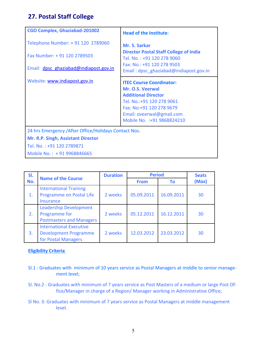### **27. Postal Staff College**

| <b>CGO Complex, Ghaziabad-201002</b>                                                                                                                          | <b>Head of the Institute:</b>                                                                                                                                                                            |
|---------------------------------------------------------------------------------------------------------------------------------------------------------------|----------------------------------------------------------------------------------------------------------------------------------------------------------------------------------------------------------|
| Telephone Number: +91 120 2789060<br>Fax Number: +91 120 2789503<br>Email: dpsc ghaziabad@indiapost.gov.in                                                    | <b>Mr. S. Sarkar</b><br><b>Director Postal Staff College of India</b><br>Tel. No.: +91 120 278 9060<br>Fax: No.: +91 120 278 9503<br>Email: dpsc_ghaziabad@indiapost.gov.in                              |
| Website: www.indiapost.gov.in                                                                                                                                 | <b>ITEC Course Coordinator:</b><br>Mr. O.S. Veerwal<br><b>Additional Director</b><br>Tel. No.: +91 120 278 9061<br>Fax: No: +91 120 278 9679<br>Email: oveerwal@gmail.com<br>Mobile No. : +91 9868824210 |
| 24 hrs Emergency / After Office/Holidays Contact Nos.<br><b>Mr. R.P. Singh, Assistant Director</b><br>Tel. No.: +91 120 2789871<br>Mobile No.: +91 9968846665 |                                                                                                                                                                                                          |

| SI. | <b>Name of the Course</b>                                                             | <b>Duration</b> | <b>Period</b> |            | <b>Seats</b> |
|-----|---------------------------------------------------------------------------------------|-----------------|---------------|------------|--------------|
| No. |                                                                                       |                 | <b>From</b>   | Τo         | (Max)        |
| 1.  | <b>International Training</b><br>Programme on Postal Life<br><b>Insurance</b>         | 2 weeks         | 05.09.2011    | 16.09.2011 | 30           |
| 2.  | <b>Leadership Development</b><br>Programme for<br><b>Postmasters and Managers</b>     | 2 weeks         | 05.12.2011    | 16.12.2011 | 30           |
| 3.  | <b>International Executive</b><br><b>Development Programme</b><br>for Postal Managers | 2 weeks         | 12.03.2012    | 23.03.2012 | 30           |

### **Eligibility Criteria**

- Sl.1 : Graduates with minimum of 10 years service as Postal Managers at middle to senior management level;
- Sl. No.2 : Graduates with minimum of 7 years service as Post Masters of a medium or large Post Office/Manager in charge of a Region/ Manager working in Administrative Office;
- Sl No. 3: Graduates with minimum of 7 years service as Postal Managers at middle management level.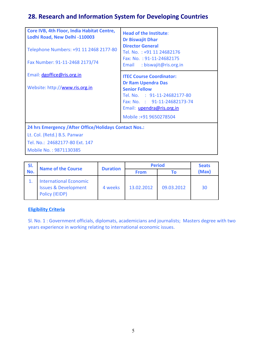# **28. Research and Information System for Developing Countries**

| Core IVB, 4th Floor, India Habitat Centre,<br>Lodhi Road, New Delhi -110003 | <b>Head of the Institute:</b><br><b>Dr Biswajit Dhar</b>                                                                                                                 |  |  |  |
|-----------------------------------------------------------------------------|--------------------------------------------------------------------------------------------------------------------------------------------------------------------------|--|--|--|
| Telephone Numbers: +91 11 2468 2177-80                                      | <b>Director General</b><br>Tel. No.: +91 11 24682176                                                                                                                     |  |  |  |
| Fax Number: 91-11-2468 2173/74                                              | Fax: No.: 91-11-24682175<br>: biswajit@ris.org.in<br>Email                                                                                                               |  |  |  |
| Email: dgoffice@ris.org.in                                                  | <b>ITEC Course Coordinator:</b>                                                                                                                                          |  |  |  |
| Website: http://www.ris.org.in                                              | <b>Dr Ram Upendra Das</b><br><b>Senior Fellow</b><br>Tel. No. : 91-11-24682177-80<br>Fax: No. : 91-11-24682173-74<br>Email: upendra@ris.org.in<br>Mobile: +91 9650278504 |  |  |  |
| 24 hrs Emergency / After Office/Holidays Contact Nos.:                      |                                                                                                                                                                          |  |  |  |
| Lt. Col. (Retd.) B.S. Panwar                                                |                                                                                                                                                                          |  |  |  |
| Tel. No.: 24682177-80 Ext. 147                                              |                                                                                                                                                                          |  |  |  |
| Mobile No.: 9871130385                                                      |                                                                                                                                                                          |  |  |  |

| SI. | <b>Name of the Course</b>                                                          |                 | <b>Period</b> |            | <b>Seats</b> |
|-----|------------------------------------------------------------------------------------|-----------------|---------------|------------|--------------|
| No. |                                                                                    | <b>Duration</b> | <b>From</b>   | Τо         | (Max)        |
|     | <b>International Economic</b><br><b>Issues &amp; Development</b><br>Policy (IEIDP) | 4 weeks         | 13.02.2012    | 09.03.2012 | 30           |

### **Eligibility Criteria**

Sl. No. 1 : Government officials, diplomats, academicians and journalists; Masters degree with two years experience in working relating to international economic issues.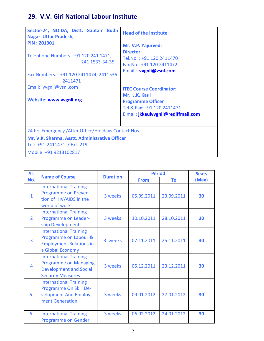# **29. V.V. Giri National Labour Institute**

| Sector-24, NOIDA, Distt. Gautam Budh<br>Nagar Uttar Pradesh,<br><b>PIN: 201301</b><br>Telephone Numbers : +91 120 241 1471,<br>241 1533-34-35<br>Fax Numbers.: +91 120 2411474, 2411536<br>2411471<br>Email: vvgnli@vsnl.com<br>Website: www.vvgnli.org | <b>Head of the Institute:</b><br>Mr. V.P. Yajurvedi<br><b>Director</b><br>Tel.No.: +91 120 2411470<br>Fax No.: +91 120 2411472<br>Email: <b>vygnli@vsnl.com</b><br><b>ITEC Course Coordinator:</b><br>Mr. J.K. Kaul<br><b>Programme Officer</b><br>Tel & Fax: +91 120 2411471<br>E.mail: jkkaulvvgnli@rediffmail.com |
|---------------------------------------------------------------------------------------------------------------------------------------------------------------------------------------------------------------------------------------------------------|----------------------------------------------------------------------------------------------------------------------------------------------------------------------------------------------------------------------------------------------------------------------------------------------------------------------|
| 24 hrs Emergency / After Office/Holidays Contact Nos.                                                                                                                                                                                                   |                                                                                                                                                                                                                                                                                                                      |
| Mr. V.K. Sharma, Asstt. Administrative Officer<br>Tel: +91-2411471 / Ext. 219<br>Mobile: +91 9213102817                                                                                                                                                 |                                                                                                                                                                                                                                                                                                                      |
|                                                                                                                                                                                                                                                         |                                                                                                                                                                                                                                                                                                                      |

| SI.            | <b>Name of Course</b>                                                                                                      | <b>Duration</b> | <b>Period</b> | <b>Seats</b> |       |
|----------------|----------------------------------------------------------------------------------------------------------------------------|-----------------|---------------|--------------|-------|
| No.            |                                                                                                                            |                 | <b>From</b>   | To           | (Max) |
| $\mathbf{1}$   | <b>International Training</b><br>Programme on Preven-<br>tion of HIV/AIDS in the<br>world of work                          | 3 weeks         | 05.09.2011    | 23.09.2011   | 30    |
| $\overline{2}$ | <b>International Training</b><br>Programme on Leader-<br>ship Development                                                  | 3 weeks         | 10.10.2011    | 28.10.2011   | 30    |
| $\overline{3}$ | <b>International Training</b><br>Programme on Labour &<br><b>Employment Relations in</b><br>a Global Economy               | 3 weeks         | 07.11.2011    | 25.11.2011   | 30    |
| 4              | <b>International Training</b><br><b>Programme on Managing</b><br><b>Development and Social</b><br><b>Security Measures</b> | 3 weeks         | 05.12.2011    | 23.12.2011   | 30    |
| 5.             | <b>International Training</b><br>Programme On Skill De-<br>velopment And Employ-<br>ment Generation                        | 3 weeks         | 09.01.2012    | 27.01.2012   | 30    |
| 6.             | <b>International Training</b><br><b>Programme on Gender</b>                                                                | 3 weeks         | 06.02.2012    | 24.01.2012   | 30    |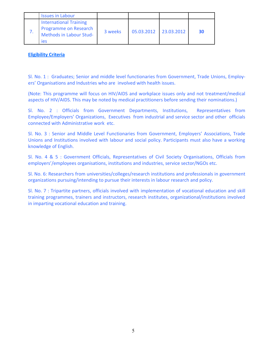| <b>Issues in Labour</b>                                                                         |         |            |                   |    |
|-------------------------------------------------------------------------------------------------|---------|------------|-------------------|----|
| <b>International Training</b><br><b>Programme on Research</b><br>Methods in Labour Stud-<br>ies | 3 weeks | 05.03.2012 | $\mid$ 23.03.2012 | 30 |

Sl. No. 1 : Graduates; Senior and middle level functionaries from Government, Trade Unions, Employers' Organisations and Industries who are involved with health issues.

(Note: This programme will focus on HIV/AIDS and workplace issues only and not treatment/medical aspects of HIV/AIDS. This may be noted by medical practitioners before sending their nominations.)

Sl. No. 2 : Officials from Government Departments, Institutions, Representatives from Employee/Employers' Organizations, Executives from industrial and service sector and other officials connected with Administrative work etc.

Sl. No. 3 : Senior and Middle Level Functionaries from Government, Employers' Associations, Trade Unions and Institutions involved with labour and social policy. Participants must also have a working knowledge of English.

Sl. No. 4 & 5 : Government Officials, Representatives of Civil Society Organisations, Officials from employers'/employees organisations, institutions and industries, service sector/NGOs etc.

Sl. No. 6: Researchers from universities/colleges/research institutions and professionals in government organizations pursuing/intending to pursue their interests in labour research and policy.

Sl. No. 7 : Tripartite partners, officials involved with implementation of vocational education and skill training programmes, trainers and instructors, research institutes, organizational/institutions involved in imparting vocational education and training.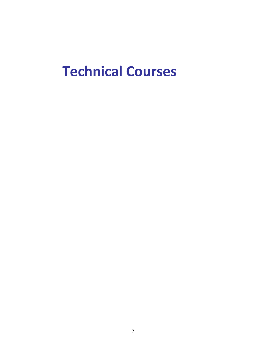# **Technical Courses**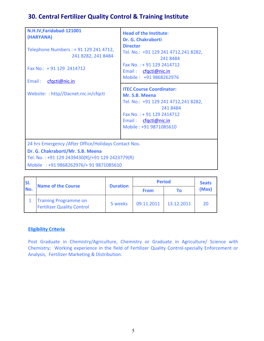# **30. Central Fertilizer Quality Control & Training Institute**

| N.H.IV, Faridabad-121001<br>(HARYANA)<br>Telephone Numbers : + 91 129 241 4712,<br>241 8282, 241 8484<br>Fax No.: $+91$ 129 2414712<br>cfgcti@nic.in<br>Email:                           | <b>Head of the Institute:</b><br>Dr. G. Chakraborti<br><b>Director</b><br>Tel. No.: +91 129 241 4712,241 8282,<br>2418484<br>Fax No.: +91 129 2414712<br>Email: cfgcti@nic.in<br>Mobile: +91 9868262976 |
|------------------------------------------------------------------------------------------------------------------------------------------------------------------------------------------|---------------------------------------------------------------------------------------------------------------------------------------------------------------------------------------------------------|
| Website:: http//Dacnet.nic.in/cfqcti                                                                                                                                                     | <b>ITEC Course Coordinator:</b><br>Mr. S.B. Meena<br>Tel. No.: +91 129 241 4712,241 8282,<br>2418484<br>Fax No.: +91 129 2414712<br>Email: cfgcti@nic.in<br>Mobile: +91 9871085610                      |
| 24 hrs Emergency / After Office/Holidays Contact Nos.<br>Dr. G. Chakraborti/Mr. S.B. Meena<br>Tel. No.: +91 129 2439430(R)/+91 129 2423779(R)<br>Mobile : +91 9868262976/+ 91 9871085610 |                                                                                                                                                                                                         |

| ISI. | <b>Name of the Course</b>                                         | <b>Duration</b> | <b>Period</b> | <b>Seats</b> |       |
|------|-------------------------------------------------------------------|-----------------|---------------|--------------|-------|
| No.  |                                                                   |                 | <b>From</b>   | Τо           | (Max) |
|      | <b>Training Programme on</b><br><b>Fertilizer Quality Control</b> | 5 weeks         | 09.11.2011    | 13.12.2011   | 20    |

### **Eligibility Criteria**

Post Graduate in Chemistry/Agriculture, Chemistry or Graduate in Agriculture/ Science with Chemistry; Working experience in the field of Fertilizer Quality Control-specially Enforcement or Analysis, Fertilizer Marketing & Distribution.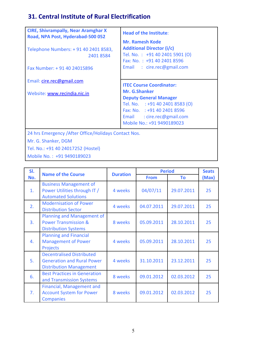# **31. Central Institute of Rural Electrification**

| <b>CIRE, Shivrampally, Near Aramghar X</b><br>Road, NPA Post, Hyderabad-500 052 | <b>Head of the Institute:</b>                                                                                              |
|---------------------------------------------------------------------------------|----------------------------------------------------------------------------------------------------------------------------|
| Telephone Numbers: +91 40 2401 8583,<br>2401 8584                               | <b>Mr. Ramesh Kode</b><br><b>Additional Director (i/c)</b><br>Tel. No.: +91 40 2401 5901 (O)<br>Fax: No.: +91 40 2401 8596 |
| Fax Number: +91 40 24015896                                                     | Email : cire.rec@gmail.com                                                                                                 |
| Email: cire.rec@gmail.com                                                       | <b>ITEC Course Coordinator:</b>                                                                                            |
| Website: www.recindia.nic.in                                                    | Mr. G.Shanker<br><b>Deputy General Manager</b><br>Tel. No. : +91 40 2401 8583 (O)                                          |
|                                                                                 | Fax: No. : +91 40 2401 8596                                                                                                |
|                                                                                 | Email : cire.rec@gmail.com<br>Mobile No.: +91 9490189023                                                                   |
| 24 hrs Emergency / After Office/Holidays Contact Nos.                           |                                                                                                                            |

Mr. G. Shanker, DGM

Tel. No.: +91 40 24017252 (Hostel)

Mobile No. : +91 9490189023

| SI.            | <b>Name of the Course</b>                                                                               | <b>Duration</b> |             | <b>Period</b> | <b>Seats</b> |
|----------------|---------------------------------------------------------------------------------------------------------|-----------------|-------------|---------------|--------------|
| No.            |                                                                                                         |                 | <b>From</b> | To            | (Max)        |
| 1.             | <b>Business Management of</b><br>Power Utilities through IT /<br><b>Automated Solutions</b>             | 4 weeks         | 04/07/11    | 29.07.2011    | 25           |
| 2.             | <b>Modernisation of Power</b><br><b>Distribution Sector</b>                                             | 4 weeks         | 04.07.2011  | 29.07.2011    | 25           |
| 3 <sub>1</sub> | Planning and Management of<br><b>Power Transmission &amp;</b><br><b>Distribution Systems</b>            | 8 weeks         | 05.09.2011  | 28.10.2011    | 25           |
| 4.             | <b>Planning and Financial</b><br><b>Management of Power</b><br><b>Projects</b>                          | 4 weeks         | 05.09.2011  | 28.10.2011    | 25           |
| 5.             | <b>Decentralised Distributed</b><br><b>Generation and Rural Power</b><br><b>Distribution Management</b> | 4 weeks         | 31.10.2011  | 23.12.2011    | 25           |
| 6.             | <b>Best Practices in Generation</b><br>and Transmission Systems                                         | 8 weeks         | 09.01.2012  | 02.03.2012    | 25           |
| 7.             | Financial, Management and<br><b>Account System for Power</b><br><b>Companies</b>                        | 8 weeks         | 09.01.2012  | 02.03.2012    | 25           |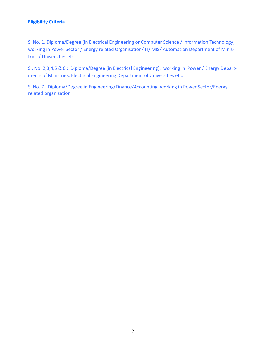Sl No. 1. Diploma/Degree (in Electrical Engineering or Computer Science / Information Technology) working in Power Sector / Energy related Organisation/ IT/ MIS/ Automation Department of Ministries / Universities etc.

Sl. No. 2,3,4,5 & 6 : Diploma/Degree (in Electrical Engineering), working in Power / Energy Departments of Ministries, Electrical Engineering Department of Universities etc.

Sl No. 7 : Diploma/Degree in Engineering/Finance/Accounting; working in Power Sector/Energy related organization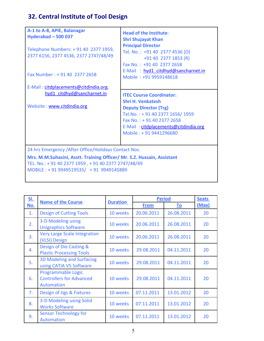# **32. Central Institute of Tool Design**

| A-1 to A-8, APIE, Balanagar<br>Hyderabad $-500037$<br>Telephone Numbers: +91 40 2377 1959,<br>2377 6156, 2377 4536, 2377 2747/48/49<br>Fax Number: +91 40 2377 2658                                                                | <b>Head of the Institute:</b><br><b>Shri Shujayat Khan</b><br><b>Principal Director</b><br>Tel. No.: +91 40 2377 4536 (O)<br>+91 40 2377 1853 (R)<br>Fax No.: +91 40 2377 2658<br>E-Mail: hyd1 citdhyd@sancharnet.in<br>Mobile: +91 9959148618 |
|------------------------------------------------------------------------------------------------------------------------------------------------------------------------------------------------------------------------------------|------------------------------------------------------------------------------------------------------------------------------------------------------------------------------------------------------------------------------------------------|
| E-Mail: citdplacements@citdindia.org,<br>hyd1 citdhyd@sancharnet.in<br>Website: www.citdindia.org                                                                                                                                  | <b>ITEC Course Coordinator:</b><br><b>Shri H. Venkatesh</b><br><b>Deputy Director (Trg)</b><br>Tel.No.: +91 40 2377 1656/1959<br>Fax No.: +91 40 2377 2658<br>E-Mail: citdplacements@citdindia.org<br>Mobile: +91 9441296680                   |
| 24 hrs Emergency / After Office/Holidays Contact Nos.<br>Mrs. M.M.Suhasini, Asstt. Training Officer/ Mr. S.Z. Hussain, Assistant<br>TEL. No.: + 91 40 2377 1959, + 91 40 2377 2747/48/49<br>MOBILE: +91 9949519535/ +91 9949145889 |                                                                                                                                                                                                                                                |

| <u>SI.</u> | <b>Name of the Course</b>                                                  |                 | <b>Period</b> |            | <b>Seats</b> |
|------------|----------------------------------------------------------------------------|-----------------|---------------|------------|--------------|
| No.        |                                                                            | <b>Duration</b> | <b>From</b>   | <u>To</u>  | (Max)        |
| 1.         | <b>Design of Cutting Tools</b>                                             | 10 weeks        | 20.06.2011    | 26.08.2011 | 20           |
| 2.         | 3-D Modeling using<br><b>Unigraphics Software</b>                          | 10 weeks        | 20.06.2011    | 26.08.2011 | 20           |
| 3.         | <b>Very Large Scale Integration</b><br>(VLSI) Design                       | 10 weeks        | 20.06.2011    | 26.08.2011 | 20           |
| 4.         | Design of Die Casting &<br><b>Plastic Processing Tools</b>                 | 10 weeks        | 29.08.2011    | 04.11.2011 | 20           |
| 5.         | <b>3D Modeling and Surfacing</b><br>using CATIA V5 Software                | 10 weeks        | 29.08.2011    | 04.11.2011 | 20           |
| 6.         | Programmable Logic<br><b>Controllers for Advanced</b><br><b>Automation</b> | 10 weeks        | 29.08.2011    | 04.11.2011 | 20           |
| 7.         | Design of Jigs & Fixtures                                                  | 10 weeks        | 07.11.2011    | 13.01.2012 | 20           |
| 8.         | 3-D Modeling using Solid<br><b>Works Software</b>                          | 10 weeks        | 07.11.2011    | 13.01.2012 | 20           |
| 9.         | <b>Sensor Technology for</b><br><b>Automation</b>                          | 10 weeks        | 07.11.2011    | 13.01.2012 | 20           |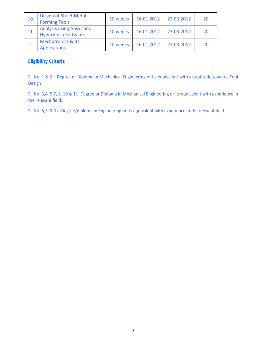| 10. | <b>Design of Sheet Metal</b><br><b>Forming Tools</b>         | 10 weeks | 16.01.2012 | 23.03.2012 | 20 |
|-----|--------------------------------------------------------------|----------|------------|------------|----|
| 11. | <b>Analysis using Ansys and</b><br><b>Hypermesh Software</b> | 10 weeks | 16.01.2012 | 23.03.2012 | 20 |
| 12. | <b>Mechatronics &amp; its</b><br><b>Applications</b>         | 10 weeks | 16.01.2012 | 23.03.2012 | 20 |

Sl. No. 1 & 2 : Degree or Diploma in Mechanical Engineering or its equivalent with an aptitude towards Tool Design

Sl. No. 3,4, 5,7, 8, 10 & 11 :Degree or Diploma in Mechanical Engineering or its equivalent with experience in the relevant field.

Sl. No. 6, 9 & 12 :Degree/diploma in Engineering or its equivalent with experience in the relevant field.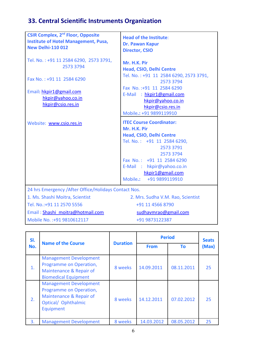# **33. Central Scientific Instruments Organization**

| <b>CSIR Complex, 2<sup>nd</sup> Floor, Opposite</b><br><b>Institute of Hotel Management, Pusa,</b><br><b>New Delhi-110 012</b> | <b>Head of the Institute:</b><br>Dr. Pawan Kapur<br><b>Director, CSIO</b>                                                                                                                                                                        |
|--------------------------------------------------------------------------------------------------------------------------------|--------------------------------------------------------------------------------------------------------------------------------------------------------------------------------------------------------------------------------------------------|
| Tel. No.: +91 11 2584 6290, 2573 3791,<br>2573 3794                                                                            | Mr. H.K. Pir<br>Head, CSIO, Delhi Centre                                                                                                                                                                                                         |
| Fax No.: +91 11 2584 6290                                                                                                      | Tel. No.: +91 11 2584 6290, 2573 3791,<br>2573 3794                                                                                                                                                                                              |
| Email: hkpir1@gmail.com<br>hkpir@yahoo.co.in<br>hkpir@csio.res.in                                                              | Fax No.: +91 11 2584 6290<br>E-Mail: hkpir1@gmail.com<br>hkpir@yahoo.co.in<br>hkpir@csio.res.in<br>Mobile.: +91 9899119910                                                                                                                       |
| Website: www.csio.res.in                                                                                                       | <b>ITEC Course Coordinator:</b><br>Mr. H.K. Pir<br>Head, CSIO, Delhi Centre<br>Tel. No.: +91 11 2584 6290,<br>2573 3791<br>2573 3794<br>Fax No.: +91 11 2584 6290<br>E-Mail: hkpir@yahoo.co.in<br>hkpir1@gmail.com<br>Mobile.:<br>+91 9899119910 |
| 24 hrs Emergency / After Office/Holidays Contact Nos.                                                                          |                                                                                                                                                                                                                                                  |
| 1. Ms. Shashi Moitra, Scientist                                                                                                | 2. Mrs. Sudha V.M. Rao, Scientist                                                                                                                                                                                                                |
| Tel. No.: +91 11 2570 5556                                                                                                     | +91 11 4566 8790                                                                                                                                                                                                                                 |
| $Email \cdot Chachi, moitra\#hatmail\ com$                                                                                     | cudhaymraa@gmail.com                                                                                                                                                                                                                             |

Email : [Shashi\\_moitra@hotmail.com](mailto:Shashi_moitra@hotmail.com) [sudhavmrao@gmail.com](mailto:sudhavmrao@gmail.com) Mobile No. :+91 9810612117 +91 9873122387

| SI.<br>No. | <b>Name of the Course</b>                                                                                               | <b>Duration</b> | <b>Period</b> | <b>Seats</b> |       |
|------------|-------------------------------------------------------------------------------------------------------------------------|-----------------|---------------|--------------|-------|
|            |                                                                                                                         |                 | <b>From</b>   | Τo           | (Max) |
| 1.         | <b>Management Development</b><br>Programme on Operation,<br>Maintenance & Repair of<br><b>Biomedical Equipment</b>      | 8 weeks         | 14.09.2011    | 08.11.2011   | 25    |
| 2.         | <b>Management Development</b><br>Programme on Operation,<br>Maintenance & Repair of<br>Optical/ Ophthalmic<br>Equipment | 8 weeks         | 14.12.2011    | 07.02.2012   | 25    |
| 3.         | <b>Management Development</b>                                                                                           | 8 weeks         | 14.03.2012    | 08.05.2012   | 25    |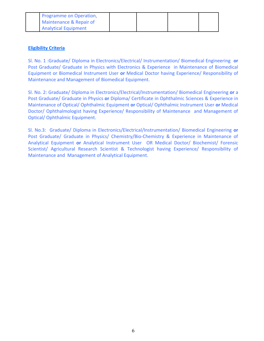| I Programme on Operation,          |  |  |
|------------------------------------|--|--|
| <b>Maintenance &amp; Repair of</b> |  |  |
| <b>Analytical Equipment</b>        |  |  |

Sl. No. 1 :Graduate/ Diploma in Electronics/Electrical/ Instrumentation/ Biomedical Engineering **or** Post Graduate/ Graduate in Physics with Electronics & Experience in Maintenance of Biomedical Equipment or Biomedical Instrument User **or** Medical Doctor having Experience/ Responsibility of Maintenance and Management of Biomedical Equipment.

Sl. No. 2: Graduate/ Diploma in Electronics/Electrical/Instrumentation/ Biomedical Engineering **or** a Post Graduate/ Graduate in Physics **or** Diploma/ Certificate in Ophthalmic Sciences & Experience in Maintenance of Optical/ Ophthalmic Equipment **or** Optical/ Ophthalmic Instrument User **or** Medical Doctor/ Ophthalmologist having Experience/ Responsibility of Maintenance and Management of Optical/ Ophthalmic Equipment.

Sl. No.3: Graduate/ Diploma in Electronics/Electrical/Instrumentation/ Biomedical Engineering **or** Post Graduate/ Graduate in Physics/ Chemistry/Bio-Chemistry & Experience in Maintenance of Analytical Equipment **or** Analytical Instrument User OR Medical Doctor/ Biochemist/ Forensic Scientist/ Agricultural Research Scientist & Technologist having Experience/ Responsibility of Maintenance and Management of Analytical Equipment.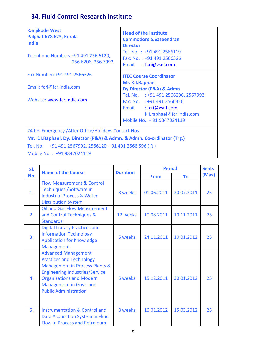## **34. Fluid Control Research Institute**

| <b>Kanjikode West</b><br>Palghat 678 623, Kerala<br><b>India</b><br>Telephone Numbers: +91 491 256 6120,<br>256 6206, 256 7992 | <b>Head of the Institute</b><br><b>Commodore S.Saseendran</b><br><b>Director</b><br>Tel. No.: +91 491 2566119<br>Fax: No. $: +914912566326$<br>Email : fcri@vsnl.com |
|--------------------------------------------------------------------------------------------------------------------------------|----------------------------------------------------------------------------------------------------------------------------------------------------------------------|
| Fax Number: +91 491 2566326                                                                                                    | <b>ITEC Course Coordinator</b>                                                                                                                                       |
| Email: fcri@fcriindia.com                                                                                                      | Mr. K.I.Raphael<br>Dy.Director (P&A) & Admn                                                                                                                          |
| Website: www.fcriindia.com                                                                                                     | Tel. No. : +91 491 2566206, 2567992<br>Fax: No. : +91 491 2566326<br>Email: fcri@vsnl.com,<br>k.i.raphael@fcriindia.com<br>Mobile No.: + 91 9847024119               |
| 24 hrs Emergency / After Office/Holidays Contact Nos.                                                                          |                                                                                                                                                                      |
| Mr. K.I.Raphael, Dy. Director (P&A) & Admn. & Admn. Co-ordinator (Trg.)                                                        |                                                                                                                                                                      |

Tel. No. +91 491 2567992, 2566120 +91 491 2566 596 ( R )

Mobile No. : +91 9847024119

| SI. | <b>Name of the Course</b>                                                                                                                                                                                                              | <b>Duration</b> | <b>Period</b> |            | <b>Seats</b> |
|-----|----------------------------------------------------------------------------------------------------------------------------------------------------------------------------------------------------------------------------------------|-----------------|---------------|------------|--------------|
| No. |                                                                                                                                                                                                                                        |                 | <b>From</b>   | <b>To</b>  | (Max)        |
| 1.  | <b>Flow Measurement &amp; Control</b><br>Techniques / Software in<br><b>Industrial Process &amp; Water</b><br><b>Distribution System</b>                                                                                               | 8 weeks         | 01.06.2011    | 30.07.2011 | 25           |
| 2.  | <b>Oil and Gas Flow Measurement</b><br>and Control Techniques &<br><b>Standards</b>                                                                                                                                                    | 12 weeks        | 10.08.2011    | 10.11.2011 | 25           |
| 3.  | <b>Digital Library Practices and</b><br><b>Information Technology</b><br><b>Application for Knowledge</b><br>Management                                                                                                                | 6 weeks         | 24.11.2011    | 10.01.2012 | 25           |
| 4.  | <b>Advanced Management</b><br><b>Practices and Technology</b><br>Management in Process Plants &<br><b>Engineering Industries/Service</b><br><b>Organizations and Modern</b><br>Management in Govt. and<br><b>Public Administration</b> | 6 weeks         | 15.12.2011    | 30.01.2012 | 25           |
| 5.  | <b>Instrumentation &amp; Control and</b><br>Data Acquisition System in Fluid<br><b>Flow in Process and Petroleum</b>                                                                                                                   | 8 weeks         | 16.01.2012    | 15.03.2012 | 25           |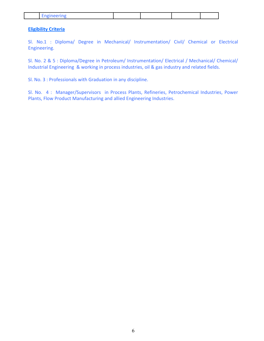|--|--|--|--|--|

Sl. No.1 : Diploma/ Degree in Mechanical/ Instrumentation/ Civil/ Chemical or Electrical Engineering.

Sl. No. 2 & 5 : Diploma/Degree in Petroleum/ Instrumentation/ Electrical / Mechanical/ Chemical/ Industrial Engineering & working in process industries, oil & gas industry and related fields.

Sl. No. 3 : Professionals with Graduation in any discipline.

Sl. No. 4 : Manager/Supervisors in Process Plants, Refineries, Petrochemical Industries, Power Plants, Flow Product Manufacturing and allied Engineering Industries.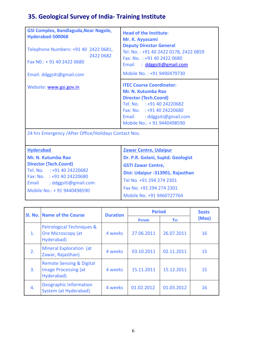# **35. Geological Survey of India- Training Institute**

| <b>GSI Complex, Bandlaguda, Near Nagole,</b>          |                                                                      |
|-------------------------------------------------------|----------------------------------------------------------------------|
| Hyderabad-500068                                      | <b>Head of the Institute:</b>                                        |
|                                                       | Mr. K. Ayyasami                                                      |
| Telephone Numbers: +91 40 2422 0681,                  | <b>Deputy Director General</b>                                       |
| 2422 0682                                             | Tel. No.: +91 40 2422 0178, 2422 0859<br>Fax: No. : +91 40 2422 0680 |
| Fax No.: + 91 40 2422 0680                            | Email: ddggsiti@gmail.com                                            |
|                                                       |                                                                      |
| Email: ddggsiti@gmail.com                             | Mobile No.: +91 9490479730                                           |
|                                                       | <b>ITEC Course Coordinator:</b>                                      |
| Website: www.gsi.gov.in                               | Mr. N. Kutumba Rao                                                   |
|                                                       | <b>Director (Tech.Coord)</b>                                         |
|                                                       | Tel. No. : +91 40 24220682                                           |
|                                                       | Fax: No. : +91 40 24220680                                           |
|                                                       | Email : ddggsiti@gmail.com                                           |
|                                                       | Mobile No.: + 91 9440498590                                          |
| 24 hrs Emergency / After Office/Holidays Contact Nos. |                                                                      |
|                                                       |                                                                      |
|                                                       |                                                                      |
| <b>Hyderabad</b>                                      | <b>Zawar Centre, Udaipur</b>                                         |
| Mr. N. Kutumba Rao                                    | Dr. P.R. Golani, Suptd. Geologist                                    |
| <b>Director (Tech.Coord)</b>                          | <b>GSTI Zawar Centre,</b>                                            |
| Tel. No. : +91 40 24220682                            | Dist: Udaipur -313901, Rajasthan                                     |
| Fax: No. : +91 40 24220680                            | Tel No. +91 294 274 2301                                             |
| Email : ddggsiti@gmail.com                            | $F = 11.04.001.071.0004$                                             |

|  | Mobile No.: + 91 9440498590 |
|--|-----------------------------|
|--|-----------------------------|

| Fax No. +91 294 274 2301  |
|---------------------------|
| Mobile No. +91 9460727764 |

|                | Sl. No. Name of the Course                                                       | <b>Duration</b> | <b>Period</b> | <b>Seats</b> |       |
|----------------|----------------------------------------------------------------------------------|-----------------|---------------|--------------|-------|
|                |                                                                                  |                 | <b>From</b>   | Т٥           | (Max) |
| $\mathbf{1}$ . | Petrological Techniques &<br><b>Ore Microscopy (at</b><br>Hyderabad)             | 4 weeks         | 27.06.2011    | 26.07.2011   | 16    |
| 2.             | Mineral Exploration (at<br>Zawar, Rajasthan)                                     | 4 weeks         | 03.10.2011    | 02.11.2011   | 15    |
| 3.             | <b>Remote Sensing &amp; Digital</b><br><b>Image Processing (at</b><br>Hyderabad) | 4 weeks         | 15.11.2011    | 15.12.2011   | 15    |
| 4.             | <b>Geographic Information</b><br>System (at Hyderabad)                           | 4 weeks         | 01.02.2012    | 01.03.2012   | 16    |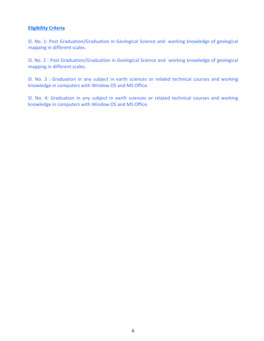Sl. No. 1: Post Graduation/Graduation in Geological Science and working knowledge of geological mapping in different scales.

Sl. No. 2 : Post Graduation/Graduation in Geological Science and working knowledge of geological mapping in different scales.

Sl. No. 3 : Graduation in any subject in earth sciences or related technical courses and working knowledge in computers with Window OS and MS Office.

Sl. No. 4: Graduation in any subject in earth sciences or related technical courses and working knowledge in computers with Window OS and MS Office.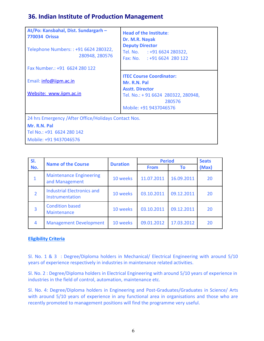# **36. Indian Institute of Production Management**

| At/Po: Kansbahal, Dist. Sundargarh -<br><b>770034 Orissa</b><br>Telephone Numbers:: +91 6624 280322,<br>280948, 280576 | <b>Head of the Institute:</b><br>Dr. M.R. Nayak<br><b>Deputy Director</b><br>Tel. No. : +91 6624 280322,<br>Fax: No. : +91 6624 280 122             |
|------------------------------------------------------------------------------------------------------------------------|-----------------------------------------------------------------------------------------------------------------------------------------------------|
| Fax Number.: +91 6624 280 122                                                                                          |                                                                                                                                                     |
| Email: info@iipm.ac.in<br>Website: www.iipm.ac.in                                                                      | <b>ITEC Course Coordinator:</b><br>Mr. R.N. Pal<br><b>Asstt. Director</b><br>Tel. No.: +91 6624 280322, 280948,<br>280576<br>Mobile: +91 9437046576 |
| 24 hrs Emergency / After Office/Holidays Contact Nos.                                                                  |                                                                                                                                                     |
| Mr. R.N. Pal<br>Tel No.: +91 6624 280 142<br>Mobile: +91 9437046576                                                    |                                                                                                                                                     |

| SI.            | <b>Name of the Course</b>                            | <b>Duration</b> | <b>Period</b> |            | <b>Seats</b> |
|----------------|------------------------------------------------------|-----------------|---------------|------------|--------------|
| No.            |                                                      |                 | <b>From</b>   | <b>To</b>  | (Max)        |
| $\mathbf{1}$   | <b>Maintenance Engineering</b><br>and Management     | 10 weeks        | 11.07.2011    | 16.09.2011 | 20           |
| $\overline{2}$ | <b>Industrial Electronics and</b><br>Instrumentation | 10 weeks        | 03.10.2011    | 09.12.2011 | 20           |
| $\overline{3}$ | <b>Condition based</b><br>Maintenance                | 10 weeks        | 03.10.2011    | 09.12.2011 | 20           |
| 4              | <b>Management Development</b>                        | 10 weeks        | 09.01.2012    | 17.03.2012 | 20           |

### **Eligibility Criteria**

Sl. No. 1 & 3 : Degree/Diploma holders in Mechanical/ Electrical Engineering with around 5/10 years of experience respectively in industries in maintenance related activities.

Sl. No. 2 : Degree/Diploma holders in Electrical Engineering with around 5/10 years of experience in industries in the field of control, automation, maintenance etc.

Sl. No. 4: Degree/Diploma holders in Engineering and Post-Graduates/Graduates in Science/ Arts with around 5/10 years of experience in any functional area in organisations and those who are recently promoted to management positions will find the programme very useful.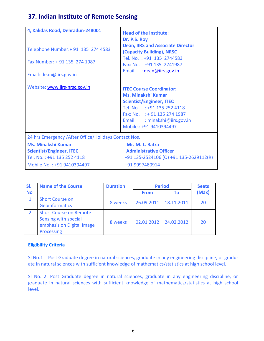### **37. Indian Institute of Remote Sensing**

| 4, Kalidas Road, Dehradun-248001<br>Telephone Number: + 91 135 274 4583<br>Fax Number: +91 135 274 1987<br>Email: dean@iirs.gov.in | <b>Head of the Institute:</b><br>Dr. P.S. Roy<br><b>Dean, IIRS and Associate Director</b><br>(Capacity Building), NRSC<br>Tel. No.: +91 135 2744583<br>Fax: No.: +91 135 2741987<br>Email: dean@iirs.gov.in               |
|------------------------------------------------------------------------------------------------------------------------------------|---------------------------------------------------------------------------------------------------------------------------------------------------------------------------------------------------------------------------|
| Website: www.iirs-nrsc.gov.in                                                                                                      | <b>ITEC Course Coordinator:</b><br><b>Ms. Minakshi Kumar</b><br><b>Scientist/Engineer, ITEC</b><br>Tel. No. : +91 135 252 4118<br>Fax: No. $: +91$ 135 274 1987<br>Email: minakshi@iirs.gov.in<br>Mobile.: +91 9410394497 |
| 24 hrs Emergency / After Office/Holidays Contact Nos.                                                                              |                                                                                                                                                                                                                           |
| <b>Ms. Minakshi Kumar</b><br><b>Scientist/Engineer, ITEC</b><br>Tel. No.: +91 135 252 4118<br>Mobile No.: +91 9410394497           | Mr. M. L. Batra<br><b>Administrative Officer</b><br>+91 135-2524106 (O) +91 135-2629112(R)<br>+91 9997480914                                                                                                              |

| SI.       | <b>Name of the Course</b>                                                                        | <b>Duration</b> |             | <b>Period</b> | <b>Seats</b> |
|-----------|--------------------------------------------------------------------------------------------------|-----------------|-------------|---------------|--------------|
| <b>No</b> |                                                                                                  |                 | <b>From</b> | Τo            | (Max)        |
| 1.        | <b>Short Course on</b><br><b>Geoinformatics</b>                                                  | 8 weeks         | 26.09.2011  | 18.11.2011    | 20           |
| 2.        | <b>Short Course on Remote</b><br>Sensing with special<br>emphasis on Digital Image<br>Processing | 8 weeks         | 02.01.2012  | 24.02.2012    | 20           |

### **Eligibility Criteria**

Sl No.1 : Post Graduate degree in natural sciences, graduate in any engineering discipline, or graduate in natural sciences with sufficient knowledge of mathematics/statistics at high school level.

Sl No. 2: Post Graduate degree in natural sciences, graduate in any engineering discipline, or graduate in natural sciences with sufficient knowledge of mathematics/statistics at high school level.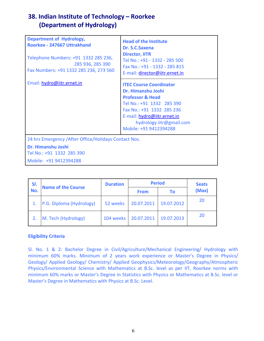## **38. Indian Institute of Technology – Roorkee (Department of Hydrology)**

| <b>Department of Hydrology,</b><br>Roorkee - 247667 Uttrakhand<br>Telephone Numbers: +91 1332 285 236,<br>285 936, 285 390<br>Fax Numbers: +91 1332 285 236, 273 560 | <b>Head of the Institute</b><br>Dr. S.C.Saxena<br><b>Director, IITR</b><br>Tel No.: +91 - 1332 - 285 500<br>Fax No.: +91 - 1332 - 285 815<br>E-mail: director@iitr.ernet.in                                                        |
|----------------------------------------------------------------------------------------------------------------------------------------------------------------------|------------------------------------------------------------------------------------------------------------------------------------------------------------------------------------------------------------------------------------|
| Email: hydro@iitr.ernet.in                                                                                                                                           | <b>ITEC Course Coordinator</b><br>Dr. Himanshu Joshi<br><b>Professor &amp; Head</b><br>Tel No.: +91 1332 285 390<br>Fax No.: +91 1332 285 236<br>E-mail: hydro@iitr.ernet.in<br>hydrology.iitr@gmail.com<br>Mobile: +91 9412394288 |
| 24 hrs Emergency / After Office/Holidays Contact Nos.<br>Dr. Himanshu Joshi<br>Tel No.: +91 1332 285 390<br>Mobile: +91 9412394288                                   |                                                                                                                                                                                                                                    |

| SI. | <b>Name of the Course</b> | <b>Duration</b> |             | <b>Period</b> | <b>Seats</b> |
|-----|---------------------------|-----------------|-------------|---------------|--------------|
| No. |                           |                 | <b>From</b> | Τo            | (Max)        |
|     | P.G. Diploma (Hydrology)  | 52 weeks        | 20.07.2011  | 19.07.2012    | 20           |
|     | M. Tech (Hydrology)       | 104 weeks       | 20.07.2011  | 19.07.2013    | 20           |

### **Eligibility Criteria**

Sl. No. 1 & 2: Bachelor Degree in Civil/Agriculture/Mechanical Engineering/ Hydrology with minimum 60% marks. Minimum of 2 years work experience or Master's Degree in Physics/ Geology/ Applied Geology/ Chemistry/ Applied Geophysics/Meteorology/Geography/Atmospheric Physics/Environmental Science with Mathematics at B.Sc. level as per IIT, Roorkee norms with minimum 60% marks or Master's Degree in Statistics with Physics or Mathematics at B.Sc. level or Master's Degree in Mathematics with Physics at B.Sc. Level.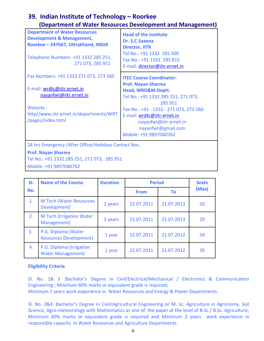### **39. Indian Institute of Technology – Roorkee (Department of Water Resources Development and Management)**

| <b>Department of Water Resources</b><br><b>Development &amp; Management,</b><br>Roorkee - 247667, Uttrakhand, INDIA               | <b>Head of the Institute:</b><br>Dr. S.C.Saxena<br><b>Director, IITR</b>                                                                                                                                                                                        |  |  |  |
|-----------------------------------------------------------------------------------------------------------------------------------|-----------------------------------------------------------------------------------------------------------------------------------------------------------------------------------------------------------------------------------------------------------------|--|--|--|
| Telephone Numbers: +91 1332 285 251,<br>271 073, 285 951                                                                          | Tel No.: +91 1332 285 500<br>Fax No.: +91 1332 285 815<br>E-mail: director@iitr.ernet.in                                                                                                                                                                        |  |  |  |
| Fax Numbers: +91 1332 271 073, 273 560                                                                                            | <b>ITEC Course Coordinator:</b>                                                                                                                                                                                                                                 |  |  |  |
| E-mail: wrdtc@iitr.ernet.in<br>nayanfwt@iitr.ernet.in<br>Website:<br>http//www.iitr.ernet.in/departments/WRT<br>/pages/index.html | <b>Prof. Nayan Sharma</b><br><b>Head, WRD&amp;M Deptt.</b><br>Tel No.: +91 1332 285 251, 271 073,<br>285 951<br>Fax No.: +91 - 1332 - 271 073, 273 560<br>E-mail: wrdtc@iitr.ernet.in<br>nayanfwt@iitr.ernet.in<br>nayanfwt@gmail.com<br>Mobile: +91 9897040762 |  |  |  |
| 24 hrs Emergency / After Office/Holidays Contact Nos.                                                                             |                                                                                                                                                                                                                                                                 |  |  |  |
| <b>Prof. Nayan Sharma</b>                                                                                                         |                                                                                                                                                                                                                                                                 |  |  |  |

Tel No.: +91 1332 285 251, 271 073, 285 951 Mobile: +91 9897040762

| SI. | <b>Name of the Course</b>                            | <b>Duration</b> | <b>Period</b> |            | <b>Seats</b> |
|-----|------------------------------------------------------|-----------------|---------------|------------|--------------|
| No. |                                                      |                 | <b>From</b>   | <b>To</b>  | (Max)        |
| 1.  | <b>M.Tech (Water Resources</b><br>Development)       | 2 years         | 22.07.2011    | 21.07.2013 | 50           |
| 2.  | <b>M.Tech (Irrigation Water)</b><br>Management)      | 2 years         | 22.07.2011    | 21.07.2013 | 20           |
| 3.  | P.G. Diploma (Water<br><b>Resources Development)</b> | 1 year          | 22.07.2011    | 21.07.2012 | 50           |
| 4.  | P.G. Diploma (Irrigation<br><b>Water Management)</b> | 1 year          | 22.07.2011    | 21.07.2012 | 20           |

### **Eligibility Criteria**

Sl. No. 1& 3 :Bachelor's Degree in Civil/Electrical/Mechanical / Electronics & Communication Engineering ; Minimum 60% marks or equivalent grade is required; Minimum 2 years work experience in Water Resources and Energy & Power Departments.

Sl. No. 2&4: Bachelor's Degree in Civil/Agricultural Engineering or M. Sc. Agriculture in Agronomy, Soil Science, Agro-meteorology with Mathematics as one of the paper at the level of B.Sc./ B.Sc. Agriculture; Minimum 60% marks or equivalent grade is required and Minimum 2 years work experience in responsible capacity in Water Resources and Agriculture Departments.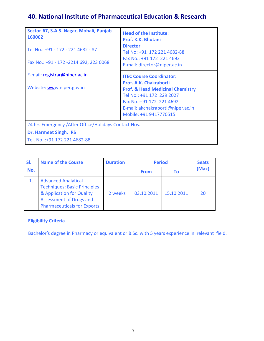# **40. National Institute of Pharmaceutical Education & Research**

| Sector-67, S.A.S. Nagar, Mohali, Punjab -<br>160062<br>Tel No.: +91 - 172 - 221 4682 - 87<br>Fax No.: +91 - 172 -2214 692, 223 0068 | <b>Head of the Institute:</b><br>Prof. K.K. Bhutani<br><b>Director</b><br>Tel No: +91 172 221 4682-88<br>Fax No.: +91 172 221 4692                                                             |
|-------------------------------------------------------------------------------------------------------------------------------------|------------------------------------------------------------------------------------------------------------------------------------------------------------------------------------------------|
|                                                                                                                                     | E-mail: director@niper.ac.in                                                                                                                                                                   |
| E-mail: registrar@niper.ac.in                                                                                                       | <b>ITEC Course Coordinator:</b>                                                                                                                                                                |
| Website: www.niper.gov.in                                                                                                           | Prof. A.K. Chakraborti<br><b>Prof. &amp; Head Medicinal Chemistry</b><br>Tel No.: +91 172 229 2027<br>Fax No.: +91 172 221 4692<br>E-mail: akchakraborti@niper.ac.in<br>Mobile: +91 9417770515 |
| 24 hrs Emergency / After Office/Holidays Contact Nos.                                                                               |                                                                                                                                                                                                |
| <b>Dr. Harmeet Singh, IRS</b>                                                                                                       |                                                                                                                                                                                                |
| Tel. No.: +91 172 221 4682-88                                                                                                       |                                                                                                                                                                                                |

| SI. | <b>Name of the Course</b>                                                                                                                                              | <b>Duration</b> | <b>Period</b> |            | <b>Seats</b> |
|-----|------------------------------------------------------------------------------------------------------------------------------------------------------------------------|-----------------|---------------|------------|--------------|
| No. |                                                                                                                                                                        |                 | <b>From</b>   | Τo         | (Max)        |
|     | <b>Advanced Analytical</b><br><b>Techniques: Basic Principles</b><br>& Application for Quality<br><b>Assessment of Drugs and</b><br><b>Pharmaceuticals for Exports</b> | 2 weeks         | 03.10.2011    | 15.10.2011 | 20           |

### **Eligibility Criteria**

Bachelor's degree in Pharmacy or equivalent or B.Sc. with 5 years experience in relevant field.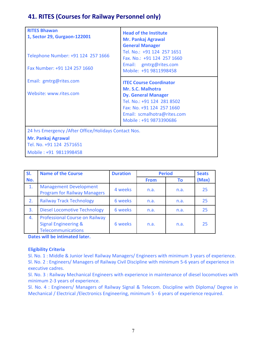### **41. RITES (Courses for Railway Personnel only)**

| <b>RITES Bhawan</b><br>1, Sector 29, Gurgaon-122001<br>Telephone Number: +91 124 257 1666<br>Fax Number: +91 124 257 1660 | <b>Head of the Institute</b><br><b>Mr. Pankaj Agrawal</b><br><b>General Manager</b><br>Tel. No.: +91 124 257 1651<br>Fax. No.: +91 124 257 1660<br>Email: gmtrg@rites.com<br>Mobile: +91 9811998458 |
|---------------------------------------------------------------------------------------------------------------------------|-----------------------------------------------------------------------------------------------------------------------------------------------------------------------------------------------------|
| Email: gmtrg@rites.com<br>Website: www.rites.com                                                                          | <b>ITEC Course Coordinator</b><br>Mr. S.C. Malhotra                                                                                                                                                 |
|                                                                                                                           | <b>Dy. General Manager</b><br>Tel. No.: +91 124 281 8502<br>Fax: No. +91 124 257 1660<br>Email: scmalhotra@rites.com<br>Mobile: +91 9873390686                                                      |
| 24 hrs Emergency / After Office/Holidays Contact Nos.                                                                     |                                                                                                                                                                                                     |
| <b>Mr. Pankaj Agrawal</b><br>Tel. No. +91 124 2571651                                                                     |                                                                                                                                                                                                     |
| Mobile: +91 9811998458                                                                                                    |                                                                                                                                                                                                     |

| SI. | <b>Name of the Course</b>                                                                      | <b>Duration</b> | <b>Period</b> |      | <b>Seats</b> |
|-----|------------------------------------------------------------------------------------------------|-----------------|---------------|------|--------------|
| No. |                                                                                                |                 | <b>From</b>   | Τo   | (Max)        |
| 1.  | <b>Management Development</b><br><b>Program for Railway Managers</b>                           | 4 weeks         | n.a.          | n.a. | 25           |
| 2.  | <b>Railway Track Technology</b>                                                                | 6 weeks         | n.a.          | n.a. | 25           |
| 3.  | <b>Diesel Locomotive Technology</b>                                                            | 6 weeks         | n.a.          | n.a. | 25           |
| 4.  | Professional Course on Railway<br><b>Signal Engineering &amp;</b><br><b>Telecommunications</b> | 6 weeks         | n.a.          | n.a. | 25           |

**Dates will be intimated later.**

#### **Eligibility Criteria**

Sl. No. 1 : Middle & Junior level Railway Managers/ Engineers with minimum 3 years of experience. Sl. No. 2 : Engineers/ Managers of Railway Civil Discipline with minimum 5-6 years of experience in executive cadres.

Sl. No. 3 : Railway Mechanical Engineers with experience in maintenance of diesel locomotives with minimum 2-3 years of experience.

Sl. No. 4 : Engineers/ Managers of Railway Signal & Telecom. Discipline with Diploma/ Degree in Mechanical / Electrical /Electronics Engineering, minimum 5 - 6 years of experience required.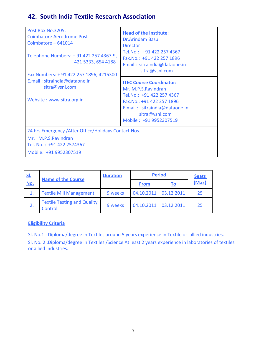### **42. South India Textile Research Association**

| Post Box No.3205,<br><b>Coimbatore Aerodrome Post</b><br>Coimbatore - 641014<br>Telephone Numbers: + 91 422 257 4367-9,<br>421 5333, 654 4188<br>Fax Numbers: +91 422 257 1896, 4215300<br>E.mail: sitraindia@dataone.in<br>sitra@vsnl.com<br>Website: www.sitra.org.in | <b>Head of the Institute:</b><br><b>Dr.Arindam Basu</b><br><b>Director</b><br>Tel.No.: +91 422 257 4367<br>Fax.No.: +91 422 257 1896<br>Email: sitraindia@dataone.in<br>sitra@vsnl.com        |  |
|-------------------------------------------------------------------------------------------------------------------------------------------------------------------------------------------------------------------------------------------------------------------------|-----------------------------------------------------------------------------------------------------------------------------------------------------------------------------------------------|--|
|                                                                                                                                                                                                                                                                         | <b>ITEC Course Coordinator:</b><br>Mr. M.P.S.Ravindran<br>Tel.No.: +91 422 257 4367<br>Fax.No.: +91 422 257 1896<br>E.mail: sitraindia@dataone.in<br>sitra@vsnl.com<br>Mobile: +91 9952307519 |  |
| 24 hrs Emergency / After Office/Holidays Contact Nos.                                                                                                                                                                                                                   |                                                                                                                                                                                               |  |
| Mr. M.P.S.Ravindran<br>Tel. No.: +91 422 2574367                                                                                                                                                                                                                        |                                                                                                                                                                                               |  |
| Mobile: +91 9952307519                                                                                                                                                                                                                                                  |                                                                                                                                                                                               |  |

| <u>SI.</u><br><b>Name of the Course</b> |                                                      | <b>Duration</b> | <b>Period</b> |            | <b>Seats</b> |
|-----------------------------------------|------------------------------------------------------|-----------------|---------------|------------|--------------|
| No.                                     |                                                      |                 | <b>From</b>   | <u>To</u>  | (Max)        |
|                                         | <b>Textile Mill Management</b>                       | 9 weeks         | 04.10.2011    | 03.12.2011 | 25           |
| 2.                                      | <b>Textile Testing and Quality</b><br><b>Control</b> | 9 weeks         | 04.10.2011    | 03.12.2011 | 25           |

### **Eligibility Criteria**

Sl. No.1 : Diploma/degree in Textiles around 5 years experience in Textile or allied industries.

Sl. No. 2 :Diploma/degree in Textiles /Science At least 2 years experience in laboratories of textiles or allied industries.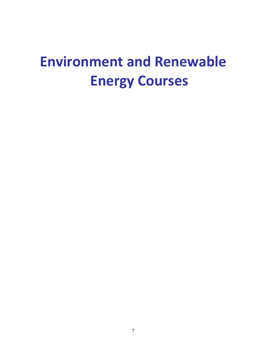# **Environment and Renewable Energy Courses**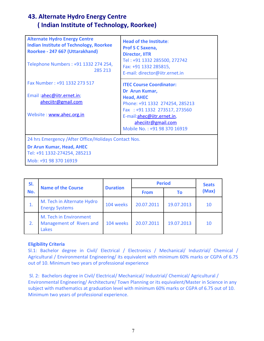# **43. Alternate Hydro Energy Centre ( Indian Institute of Technology, Roorkee)**

| <b>Alternate Hydro Energy Centre</b><br><b>Indian Institute of Technology, Roorkee</b><br>Roorkee - 247 667 (Uttarakhand)<br>Telephone Numbers: +91 1332 274 254,<br>285 213 | <b>Head of the Institute:</b><br><b>Prof S C Saxena,</b><br><b>Director, IITR</b><br>Tel: +91 1332 285500, 272742<br>Fax: +91 1332 285815,<br>E-mail: director@iitr.ernet.in              |
|------------------------------------------------------------------------------------------------------------------------------------------------------------------------------|-------------------------------------------------------------------------------------------------------------------------------------------------------------------------------------------|
| Fax Number: +91 1332 273 517                                                                                                                                                 | <b>ITEC Course Coordinator:</b>                                                                                                                                                           |
| Email:ahec@iitr.ernet.in;<br>aheciitr@gmail.com<br>Website: www.ahec.org.in                                                                                                  | Dr Arun Kumar,<br><b>Head, AHEC</b><br>Phone: +91 1332 274254, 285213<br>Fax: +91 1332 273517, 273560<br>E-mail:ahec@iitr.ernet.in,<br>aheciitr@gmail.com<br>Mobile No.: +91 98 370 16919 |
| 24 hrs Emergency / After Office/Holidays Contact Nos.                                                                                                                        |                                                                                                                                                                                           |
| Dr Arun Kumar, Head, AHEC<br>Tel: +91 1332-274254, 285213                                                                                                                    |                                                                                                                                                                                           |
| Mob: +91 98 370 16919                                                                                                                                                        |                                                                                                                                                                                           |

| SI. |                                                                    | <b>Duration</b> | <b>Period</b> |            | <b>Seats</b> |
|-----|--------------------------------------------------------------------|-----------------|---------------|------------|--------------|
| No. | <b>Name of the Course</b>                                          |                 | <b>From</b>   | Τo         | (Max)        |
| 1.  | M. Tech in Alternate Hydro<br><b>Energy Systems</b>                | 104 weeks       | 20.07.2011    | 19.07.2013 | 10           |
| 2.  | M. Tech in Environment<br>Management of Rivers and<br><b>Lakes</b> | 104 weeks       | 20.07.2011    | 19.07.2013 | 10           |

### **Eligibility Criteria**

Sl.1: Bachelor degree in Civil/ Electrical / Electronics / Mechanical/ Industrial/ Chemical / Agricultural / Environmental Engineering/ its equivalent with minimum 60% marks or CGPA of 6.75 out of 10. Minimum two years of professional experience

 Sl. 2: Bachelors degree in Civil/ Electrical/ Mechanical/ Industrial/ Chemical/ Agricultural / Environmental Engineering/ Architecture/ Town Planning or its equivalent/Master in Science in any subject with mathematics at graduation level with minimum 60% marks or CGPA of 6.75 out of 10. Minimum two years of professional experience.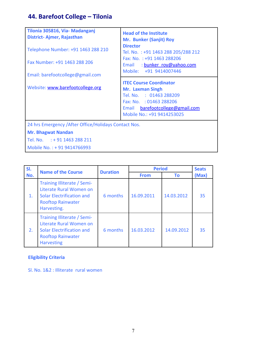# **44. Barefoot College – Tilonia**

| Tilonia 305816, Via- Madanganj<br>District-Ajmer, Rajasthan<br>Telephone Number: +91 1463 288 210<br>Fax Number: +91 1463 288 206<br>Email: barefootcollege@gmail.com<br>Website: www.barefootcollege.org | <b>Head of the Institute</b><br>Mr. Bunker (Sanjit) Roy<br><b>Director</b><br>Tel. No.: +91 1463 288 205/288 212<br>Fax: No.: +91 1463 288206<br>Email : bunker roy@yahoo.com<br>Mobile: +91 9414007446<br><b>ITEC Course Coordinator</b><br><b>Mr. Laxman Singh</b><br>Tel. No. : 01463 288209 |
|-----------------------------------------------------------------------------------------------------------------------------------------------------------------------------------------------------------|-------------------------------------------------------------------------------------------------------------------------------------------------------------------------------------------------------------------------------------------------------------------------------------------------|
|                                                                                                                                                                                                           | Fax: No. : 01463 288206<br>Email barefootcollege@gmail.com<br>Mobile No.: +91 9414253025                                                                                                                                                                                                        |
| 24 hrs Emergency / After Office/Holidays Contact Nos.<br><b>Mr. Bhagwat Nandan</b><br>Tel. No. : + 91 1463 288 211<br>Mobile No.: +91 9414766993                                                          |                                                                                                                                                                                                                                                                                                 |

| SI. | <b>Name of the Course</b>                                                                                                             | <b>Duration</b> | <b>Period</b> |            | <b>Seats</b> |
|-----|---------------------------------------------------------------------------------------------------------------------------------------|-----------------|---------------|------------|--------------|
| No. |                                                                                                                                       |                 | <b>From</b>   | Τo         | (Max)        |
| 1.  | Training Illiterate / Semi-<br>Literate Rural Women on<br><b>Solar Electrification and</b><br><b>Rooftop Rainwater</b><br>Harvesting. | 6 months        | 16.09.2011    | 14.03.2012 | 35           |
| 2.  | Training Illiterate / Semi-<br>Literate Rural Women on<br>Solar Electrification and<br><b>Rooftop Rainwater</b><br><b>Harvesting</b>  | 6 months        | 16.03.2012    | 14.09.2012 | 35           |

# **Eligibility Criteria**

Sl. No. 1&2 : Illiterate rural women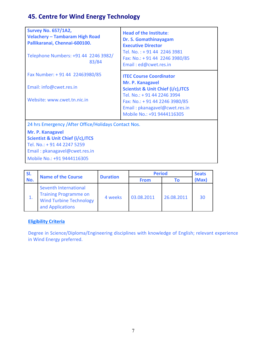# **45. Centre for Wind Energy Technology**

| <b>Survey No. 657/1A2,</b><br><b>Velachery - Tambaram High Road</b><br>Pallikaranai, Chennai-600100.<br>Telephone Numbers: +91 44 2246 3982/<br>83/84     | <b>Head of the Institute:</b><br>Dr. S. Gomathinayagam<br><b>Executive Director</b><br>Tel. No.: + 91 44 2246 3981<br>Fax: No.: + 91 44 2246 3980/85<br>Email: ed@cwet.res.in                                                       |
|-----------------------------------------------------------------------------------------------------------------------------------------------------------|-------------------------------------------------------------------------------------------------------------------------------------------------------------------------------------------------------------------------------------|
| Fax Number: +91 44 22463980/85<br>Email: info@cwet.res.in<br>Website: www.cwet.tn.nic.in                                                                  | <b>ITEC Course Coordinator</b><br>Mr. P. Kanagavel<br><b>Scientist &amp; Unit Chief (i/c), ITCS</b><br>Tel. No.: + 91 44 2246 3994<br>Fax: No.: + 91 44 2246 3980/85<br>Email: pkanagavel@cwet.res.in<br>Mobile No.: +91 9444116305 |
| 24 hrs Emergency / After Office/Holidays Contact Nos.<br>Mr. P. Kanagavel<br><b>Scientist &amp; Unit Chief (i/c), ITCS</b><br>Tel. No.: + 91 44 2247 5259 |                                                                                                                                                                                                                                     |

Email : pkanagavel@cwet.res.in

Mobile No.: +91 9444116305

| SI. |                                                                                                             |                 | <b>Period</b> |            | <b>Seats</b> |
|-----|-------------------------------------------------------------------------------------------------------------|-----------------|---------------|------------|--------------|
| No. | <b>Name of the Course</b>                                                                                   | <b>Duration</b> | <b>From</b>   | Τo         | (Max)        |
| 1.  | Seventh International<br><b>Training Programme on</b><br><b>Wind Turbine Technology</b><br>and Applications | 4 weeks         | 03.08.2011    | 26.08.2011 | 30           |

## **Eligibility Criteria**

Degree in Science/Diploma/Engineering disciplines with knowledge of English; relevant experience in Wind Energy preferred.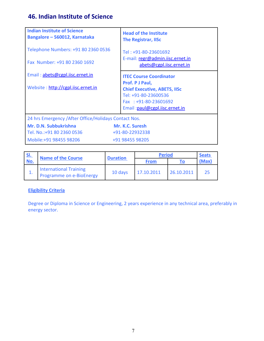# **46. Indian Institute of Science**

| <b>Head of the Institute</b><br><b>The Registrar, IISc</b>                                                                               |
|------------------------------------------------------------------------------------------------------------------------------------------|
| Tel: +91-80-23601692                                                                                                                     |
| E-mail: regr@admin.iisc.ernet.in<br>abets@cgpl.iisc.ernet.in                                                                             |
| <b>ITEC Course Coordinator</b>                                                                                                           |
| Prof. P J Paul,<br><b>Chief Executive, ABETS, IISc</b><br>Tel: +91-80-23600536<br>Fax: +91-80-23601692<br>Email: paul@cgpl.iisc.ernet.in |
| 24 hrs Emergency / After Office/Holidays Contact Nos.                                                                                    |
| Mr. K.C. Suresh<br>+91-80-22932338<br>+91 98455 98205                                                                                    |
|                                                                                                                                          |

| <u>SI.</u> |                                                           |                 | <b>Period</b> |            | <b>Seats</b> |
|------------|-----------------------------------------------------------|-----------------|---------------|------------|--------------|
| No.        | <b>Name of the Course</b>                                 | <b>Duration</b> | <b>From</b>   |            | (Max)        |
|            | <b>International Training</b><br>Programme on e-BioEnergy | 10 days         | 17.10.2011    | 26.10.2011 | フち           |

## **Eligibility Criteria**

Degree or Diploma in Science or Engineering, 2 years experience in any technical area, preferably in energy sector.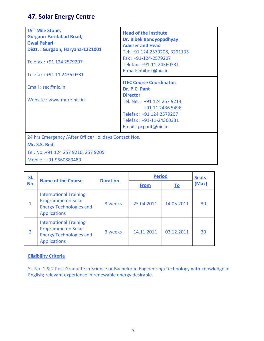# **47. Solar Energy Centre**

| 19 <sup>th</sup> Mile Stone,<br><b>Gurgaon-Faridabad Road,</b><br><b>Gwal Pahari</b><br>Distt.: Gurgaon, Haryana-1221001<br>Telefax: +91 124 2579207<br>Telefax: +91 11 2436 0331 | <b>Head of the Institute</b><br>Dr. Bibek Bandyopadhyay<br><b>Adviser and Head</b><br>Tel: +91 124 2579208, 3291135<br>Fax: +91-124-2579207<br>Telefax: +91-11-24360331<br>E-mail: bbibek@nic.in       |
|-----------------------------------------------------------------------------------------------------------------------------------------------------------------------------------|--------------------------------------------------------------------------------------------------------------------------------------------------------------------------------------------------------|
| Email: sec@nic.in<br>Website: www.mnre.nic.in                                                                                                                                     | <b>ITEC Course Coordinator:</b><br>Dr. P.C. Pant<br><b>Director</b><br>Tel. No.: +91 124 257 9214,<br>+91 11 2436 5496<br>Telefax: +91 124 2579207<br>Telefax: +91-11-24360331<br>Email: pcpant@nic.in |
| 24 hrs Emergency / After Office/Holidays Contact Nos.<br>Mr. S.S. Bedi<br>Tel. No.:+91 124 257 9210, 257 9205                                                                     |                                                                                                                                                                                                        |

Mobile : +91 9560889489

| <u>SI.</u> |                                                                                                              | <b>Duration</b> | <b>Period</b> |            | <b>Seats</b> |
|------------|--------------------------------------------------------------------------------------------------------------|-----------------|---------------|------------|--------------|
| No.        | <b>Name of the Course</b>                                                                                    |                 | <b>From</b>   | <u>To</u>  | (Max)        |
| 1.         | <b>International Training</b><br>Programme on Solar<br><b>Energy Technologies and</b><br><b>Applications</b> | 3 weeks         | 25.04.2011    | 14.05.2011 | 30           |
| 2.         | <b>International Training</b><br>Programme on Solar<br><b>Energy Technologies and</b><br><b>Applications</b> | 3 weeks         | 14.11.2011    | 03.12.2011 | 30           |

## **Eligibility Criteria**

Sl. No. 1 & 2 Post Graduate in Science or Bachelor in Engineering/Technology with knowledge in English; relevant experience in renewable energy desirable.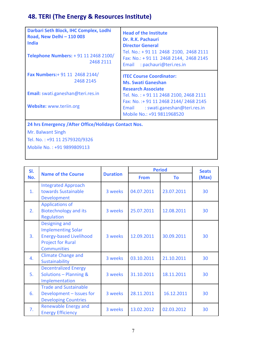# **48. TERI (The Energy & Resources Institute)**

| Darbari Seth Block, IHC Complex, Lodhi<br>Road, New Delhi - 110 003<br><b>India</b><br>Telephone Numbers: +91 11 2468 2100/<br>2468 2111 | <b>Head of the Institute</b><br>Dr. R.K. Pachauri<br><b>Director General</b><br>Tel. No.: + 91 11 2468 2100, 2468 2111<br>Fax: No.: + 91 11 2468 2144, 2468 2145<br>: pachauri@teri.res.in<br>Email |
|------------------------------------------------------------------------------------------------------------------------------------------|-----------------------------------------------------------------------------------------------------------------------------------------------------------------------------------------------------|
| <b>Fax Numbers:</b> + 91 11 2468 2144/<br>2468 2145                                                                                      | <b>ITEC Course Coordinator:</b><br><b>Ms. Swati Ganeshan</b>                                                                                                                                        |
| Email: swati.ganeshan@teri.res.in<br>Website: www.teriin.org                                                                             | <b>Research Associate</b><br>Tel. No.: + 91 11 2468 2100, 2468 2111<br>Fax: No. : + 91 11 2468 2144/ 2468 2145<br>: swati.ganeshan@teri.res.in<br>Email<br>Mobile No.: +91 9811968520               |

**24 hrs Emergency /After Office/Holidays Contact Nos.**

Mr. Balwant Singh

Tel. No. : +91 11 2579320/9326 Mobile No. : +91 9899809113

| SI. | <b>Name of the Course</b>                                                                                                      | <b>Duration</b> | <b>Period</b> | <b>Seats</b> |       |
|-----|--------------------------------------------------------------------------------------------------------------------------------|-----------------|---------------|--------------|-------|
| No. |                                                                                                                                |                 | <b>From</b>   | To           | (Max) |
| 1.  | <b>Integrated Approach</b><br>towards Sustainable<br>Development                                                               | 3 weeks         | 04.07.2011    | 23.07.2011   | 30    |
| 2.  | <b>Applications of</b><br><b>Biotechnology and its</b><br>Regulation                                                           | 3 weeks         | 25.07.2011    | 12.08.2011   | 30    |
| 3.  | Designing and<br><b>Implementing Solar</b><br><b>Energy-based Livelihood</b><br><b>Project for Rural</b><br><b>Communities</b> | 3 weeks         | 12.09.2011    | 30.09.2011   | 30    |
| 4.  | <b>Climate Change and</b><br>Sustainability                                                                                    | 3 weeks         | 03.10.2011    | 21.10.2011   | 30    |
| 5.  | <b>Decentralized Energy</b><br>Solutions - Planning &<br>Implementation                                                        | 3 weeks         | 31.10.2011    | 18.11.2011   | 30    |
| 6.  | <b>Trade and Sustainable</b><br>Development - Issues for<br><b>Developing Countries</b>                                        | 3 weeks         | 28.11.2011    | 16.12.2011   | 30    |
| 7.  | <b>Renewable Energy and</b><br><b>Energy Efficiency</b>                                                                        | 3 weeks         | 13.02.2012    | 02.03.2012   | 30    |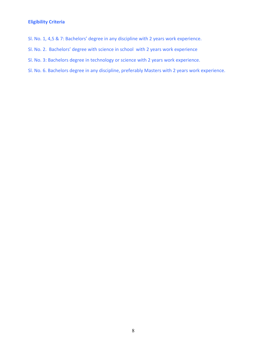## **Eligibility Criteria**

- Sl. No. 1, 4,5 & 7: Bachelors' degree in any discipline with 2 years work experience.
- Sl. No. 2. Bachelors' degree with science in school with 2 years work experience
- Sl. No. 3: Bachelors degree in technology or science with 2 years work experience.
- Sl. No. 6. Bachelors degree in any discipline, preferably Masters with 2 years work experience.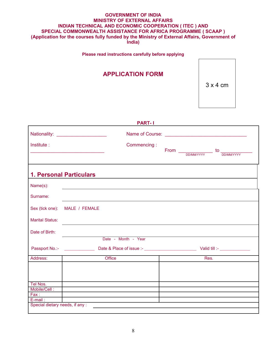#### **GOVERNMENT OF INDIA MINISTRY OF EXTERNAL AFFAIRS INDIAN TECHNICAL AND ECONOMIC COOPERATION ( ITEC ) AND SPECIAL COMMONWEALTH ASSISTANCE FOR AFRICA PROGRAMME ( SCAAP ) (Application for the courses fully funded by the Ministry of External Affairs, Government of India)**

**Please read instructions carefully before applying**

# **APPLICATION FORM**

3 x 4 cm

|                        | <b>PART-1</b>                                                                                                                                                                                                                 |      |                                                                                                                                                                                                                                                                                                                                                                |  |
|------------------------|-------------------------------------------------------------------------------------------------------------------------------------------------------------------------------------------------------------------------------|------|----------------------------------------------------------------------------------------------------------------------------------------------------------------------------------------------------------------------------------------------------------------------------------------------------------------------------------------------------------------|--|
|                        | Nationality: ________________________                                                                                                                                                                                         |      |                                                                                                                                                                                                                                                                                                                                                                |  |
| Institute:             | Commencing:                                                                                                                                                                                                                   |      |                                                                                                                                                                                                                                                                                                                                                                |  |
|                        |                                                                                                                                                                                                                               |      | $From \begin{tikzpicture}[b] \put(0,0){$\times 1$} \put(15,0){$\times 1$} \put(25,0){$\times 1$} \put(25,0){$\times 1$} \put(25,0){$\times 1$} \put(25,0){$\times 1$} \put(25,0){$\times 1$} \put(25,0){$\times 1$} \put(25,0){$\times 1$} \put(25,0){$\times 1$} \put(25,0){$\times 1$} \put(25,0){$\times 1$} \put(25,0){$\times 1$} \put(25,0){$\times 1$}$ |  |
|                        |                                                                                                                                                                                                                               |      |                                                                                                                                                                                                                                                                                                                                                                |  |
|                        | <b>1. Personal Particulars</b>                                                                                                                                                                                                |      |                                                                                                                                                                                                                                                                                                                                                                |  |
| Name(s):               | the control of the control of the control of the control of the control of the control of the control of the control of the control of the control of the control of the control of the control of the control of the control |      |                                                                                                                                                                                                                                                                                                                                                                |  |
| Surname:               |                                                                                                                                                                                                                               |      |                                                                                                                                                                                                                                                                                                                                                                |  |
| Sex (tick one):        | MALE / FEMALE                                                                                                                                                                                                                 |      |                                                                                                                                                                                                                                                                                                                                                                |  |
| <b>Marital Status:</b> |                                                                                                                                                                                                                               |      |                                                                                                                                                                                                                                                                                                                                                                |  |
| Date of Birth:         |                                                                                                                                                                                                                               |      |                                                                                                                                                                                                                                                                                                                                                                |  |
|                        | Date - Month - Year                                                                                                                                                                                                           |      |                                                                                                                                                                                                                                                                                                                                                                |  |
|                        |                                                                                                                                                                                                                               |      |                                                                                                                                                                                                                                                                                                                                                                |  |
| Address:               | Office                                                                                                                                                                                                                        | Res. |                                                                                                                                                                                                                                                                                                                                                                |  |
|                        |                                                                                                                                                                                                                               |      |                                                                                                                                                                                                                                                                                                                                                                |  |
|                        |                                                                                                                                                                                                                               |      |                                                                                                                                                                                                                                                                                                                                                                |  |
| Tel Nos.               | <u> 1989 - Johann Barn, amerikansk politiker (</u>                                                                                                                                                                            |      |                                                                                                                                                                                                                                                                                                                                                                |  |
| Mobile/Cell:           | the control of the control of the control of the control of the control of the control of                                                                                                                                     |      |                                                                                                                                                                                                                                                                                                                                                                |  |
| $\mathsf{Fax}:$        | the control of the control of the control of the control of the control of                                                                                                                                                    |      |                                                                                                                                                                                                                                                                                                                                                                |  |
| $E$ -mail:             | the control of the control of the control of the control of the control of                                                                                                                                                    |      |                                                                                                                                                                                                                                                                                                                                                                |  |
|                        | Special dietary needs, if any : \\espiritual materials are contained as a set of the special dietary needs, if any :                                                                                                          |      |                                                                                                                                                                                                                                                                                                                                                                |  |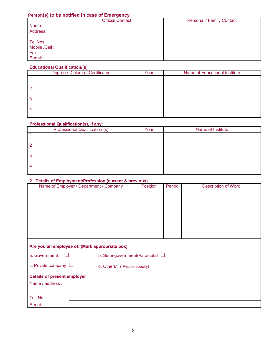## **Person(s) to be notified in case of Emergency**

|               | <b>Official Contact</b> | <b>Personal / Family Contact</b> |
|---------------|-------------------------|----------------------------------|
| Name:         |                         |                                  |
| Address:      |                         |                                  |
| Tel Nos:      |                         |                                  |
| Mobile /Cell: |                         |                                  |
| Fax:          |                         |                                  |
| E-mail:       |                         |                                  |

#### **Educational Qualification/(s)**

| Degree / Diploma / Certificates | Year | Name of Educational Institute |
|---------------------------------|------|-------------------------------|
|                                 |      |                               |
| 2                               |      |                               |
| 3                               |      |                               |
|                                 |      |                               |

#### **Professional Qualification(s), if any:**

| <b>Professional Qualification (s)</b> | Year | Name of Institute |
|---------------------------------------|------|-------------------|
|                                       |      |                   |
|                                       |      |                   |
| 3                                     |      |                   |
|                                       |      |                   |

#### **2. Details of Employment/Profession (current & previous)**

| Name of Employer / Department / Company        |                                      | Position | Period | <b>Description of Work</b> |
|------------------------------------------------|--------------------------------------|----------|--------|----------------------------|
|                                                |                                      |          |        |                            |
|                                                |                                      |          |        |                            |
|                                                |                                      |          |        |                            |
|                                                |                                      |          |        |                            |
|                                                |                                      |          |        |                            |
|                                                |                                      |          |        |                            |
|                                                |                                      |          |        |                            |
|                                                |                                      |          |        |                            |
| Are you an employee of: (Mark appropriate box) |                                      |          |        |                            |
| a. Government<br>$\Box$                        | b. Semi-government/Parastatal $\Box$ |          |        |                            |
| c. Private company $\Box$                      | d. Others* ( Please specify)         |          |        |                            |
| <b>Details of present employer:</b>            |                                      |          |        |                            |
| Name / address :                               |                                      |          |        |                            |
|                                                |                                      |          |        |                            |
| Tel. No.:                                      |                                      |          |        |                            |
| E-mail:                                        |                                      |          |        |                            |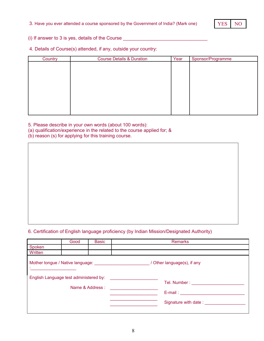

(i) If answer to 3 is yes, details of the Course

4. Details of Course(s) attended, if any, outside your country:

| Country | <b>Course Details &amp; Duration</b> | Year | Sponsor/Programme |
|---------|--------------------------------------|------|-------------------|
|         |                                      |      |                   |
|         |                                      |      |                   |
|         |                                      |      |                   |
|         |                                      |      |                   |
|         |                                      |      |                   |
|         |                                      |      |                   |
|         |                                      |      |                   |
|         |                                      |      |                   |
|         |                                      |      |                   |
|         |                                      |      |                   |

5. Please describe in your own words (about 100 words):

- (a) qualification/experience in the related to the course applied for; &
- (b) reason (s) for applying for this training course.

## 6. Certification of English language proficiency (by Indian Mission/Designated Authority)

|         | Good                                   | <b>Basic</b>     | <b>Remarks</b>              |
|---------|----------------------------------------|------------------|-----------------------------|
| Spoken  |                                        |                  |                             |
| Written |                                        |                  |                             |
|         |                                        |                  | / Other language(s), if any |
|         | English Language test administered by: |                  | Tel. Number : _____________ |
|         |                                        | Name & Address : |                             |
|         |                                        |                  | $E$ -mail: $\sqrt{2}$       |
|         |                                        |                  | Signature with date:        |
|         |                                        |                  |                             |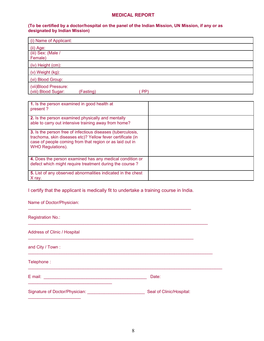#### **MEDICAL REPORT**

#### **(To be certified by a doctor/hospital on the panel of the Indian Mission, UN Mission, if any or as designated by Indian Mission)**

| (i) Name of Applicant:                      |           |     |  |  |
|---------------------------------------------|-----------|-----|--|--|
| (ii) Age:                                   |           |     |  |  |
| (iii) Sex: (Male /                          |           |     |  |  |
| Female)                                     |           |     |  |  |
| (iv) Height (cm):                           |           |     |  |  |
| (v) Weight (kg):                            |           |     |  |  |
| (vi) Blood Group:                           |           |     |  |  |
| (vii)Blood Pressure:<br>(viii) Blood Sugar: | (Fasting) | PP) |  |  |

| 1. Is the person examined in good health at<br>present?                                                                                                                                                           |  |
|-------------------------------------------------------------------------------------------------------------------------------------------------------------------------------------------------------------------|--|
| 2. Is the person examined physically and mentally<br>able to carry out intensive training away from home?                                                                                                         |  |
| 3. Is the person free of infectious diseases (tuberculosis,<br>trachoma, skin diseases etc)? Yellow fever certificate (in<br>case of people coming from that region or as laid out in<br><b>WHO Regulations).</b> |  |
| 4. Does the person examined has any medical condition or<br>defect which might require treatment during the course?                                                                                               |  |
| 5. List of any observed abnormalities indicated in the chest<br>X ray.                                                                                                                                            |  |

I certify that the applicant is medically fit to undertake a training course in India.

 $\mathcal{L}_\mathcal{L} = \mathcal{L}_\mathcal{L} = \mathcal{L}_\mathcal{L} = \mathcal{L}_\mathcal{L} = \mathcal{L}_\mathcal{L} = \mathcal{L}_\mathcal{L} = \mathcal{L}_\mathcal{L} = \mathcal{L}_\mathcal{L} = \mathcal{L}_\mathcal{L} = \mathcal{L}_\mathcal{L} = \mathcal{L}_\mathcal{L} = \mathcal{L}_\mathcal{L} = \mathcal{L}_\mathcal{L} = \mathcal{L}_\mathcal{L} = \mathcal{L}_\mathcal{L} = \mathcal{L}_\mathcal{L} = \mathcal{L}_\mathcal{L}$ 

 $\mathcal{L}_\text{max}$  , and the set of the set of the set of the set of the set of the set of the set of the set of the set of

 $\mathcal{L}_\text{max}$  and  $\mathcal{L}_\text{max}$  and  $\mathcal{L}_\text{max}$  and  $\mathcal{L}_\text{max}$  and  $\mathcal{L}_\text{max}$  and  $\mathcal{L}_\text{max}$ 

| Name of Doctor/Physician: |  |  |
|---------------------------|--|--|
|                           |  |  |

Registration No.:

Address of Clinic / Hospital

 $\mathcal{L}_\text{max}$  , and the set of the set of the set of the set of the set of the set of the set of the set of the set of the set of the set of the set of the set of the set of the set of the set of the set of the set of the

and City / Town :

Telephone :

E mail: \_\_\_\_\_\_\_\_\_\_\_\_\_\_\_\_\_\_\_\_\_\_\_\_\_\_\_\_\_\_\_\_\_\_\_\_\_\_\_\_\_\_\_ Date:

Signature of Doctor/Physician: \_\_\_\_\_\_\_\_\_\_\_\_\_\_\_\_\_\_\_\_\_\_\_\_ Seal of Clinic/Hospital:  $\mathcal{L}_\text{max}$  , where  $\mathcal{L}_\text{max}$  and  $\mathcal{L}_\text{max}$ 

\_\_\_\_\_\_\_\_\_\_\_\_\_\_\_\_\_\_\_\_\_\_\_\_\_\_\_\_\_\_\_\_\_\_\_\_\_\_\_\_\_\_\_\_\_\_\_\_\_\_\_\_\_\_\_\_\_\_\_\_\_\_\_\_\_\_\_\_\_\_\_\_\_\_\_\_\_\_\_\_\_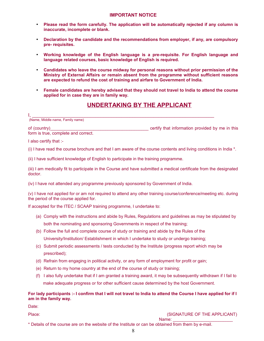#### **IMPORTANT NOTICE**

- **Please read the form carefully. The application will be automatically rejected if any column is inaccurate, incomplete or blank.**
- **Declaration by the candidate and the recommendations from employer, if any, are compulsory pre- requisites.**
- **Working knowledge of the English language is a pre-requisite. For English language and language related courses, basic knowledge of English is required.**
- **Candidates who leave the course midway for personal reasons without prior permission of the Ministry of External Affairs or remain absent from the programme without sufficient reasons are expected to refund the cost of training and airfare to Government of India.**
- **Female candidates are hereby advised that they should not travel to India to attend the course applied for in case they are in family way.**

## **UNDERTAKING BY THE APPLICANT**

of (country) of (country) and the setting of the setting that information provided by me in this form is true, complete and correct.

I also certify that :-

(i) I have read the course brochure and that I am aware of the course contents and living conditions in India \*.

(ii) I have sufficient knowledge of English to participate in the training programme.

(iii) I am medically fit to participate in the Course and have submitted a medical certificate from the designated doctor.

(iv) I have not attended any programme previously sponsored by Government of India.

(v) I have not applied for or am not required to attend any other training course/conference/meeting etc. during the period of the course applied for.

If accepted for the ITEC / SCAAP training programme, I undertake to:

- (a) Comply with the instructions and abide by Rules, Regulations and guidelines as may be stipulated by both the nominating and sponsoring Governments in respect of the training;
- (b) Follow the full and complete course of study or training and abide by the Rules of the University/Institution/ Establishment in which I undertake to study or undergo training;
- (c) Submit periodic assessments / tests conducted by the Institute (progress report which may be prescribed);
- (d) Refrain from engaging in political activity, or any form of employment for profit or gain;
- (e) Return to my home country at the end of the course of study or training;
- (f) I also fully undertake that if I am granted a training award, it may be subsequently withdrawn if I fail to make adequate progress or for other sufficient cause determined by the host Government.

#### **For lady participants :- I confirm that I will not travel to India to attend the Course I have applied for if I am in the family way.**

Date:

Place: (SIGNATURE OF THE APPLICANT)

\* Details of the course are on the website of the Institute or can be obtained from them by e-mail.

Name: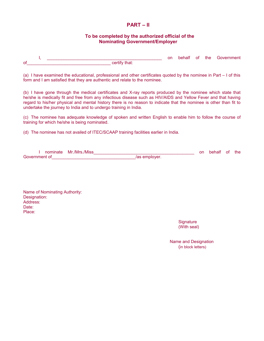#### **PART – II**

#### **To be completed by the authorized official of the Nominating Government/Employer**

I, the contract of the Government contract of the Government  $\overline{\phantom{a}}$  of  $\overline{\phantom{a}}$ 

(a) I have examined the educational, professional and other certificates quoted by the nominee in Part – I of this form and I am satisfied that they are authentic and relate to the nominee.

(b) I have gone through the medical certificates and X-ray reports produced by the nominee which state that he/she is medically fit and free from any infectious disease such as HIV/AIDS and Yellow Fever and that having regard to his/her physical and mental history there is no reason to indicate that the nominee is other than fit to undertake the journey to India and to undergo training in India.

(c) The nominee has adequate knowledge of spoken and written English to enable him to follow the course of training for which he/she is being nominated.

(d) The nominee has not availed of ITEC/SCAAP training facilities earlier in India.

|               | nominate Mr./Mrs./Miss |               | on | behalf of | the |
|---------------|------------------------|---------------|----|-----------|-----|
| Government of |                        | /as emplover. |    |           |     |

Name of Nominating Authority: Designation: Address: Date: Place:

> **Signature** (With seal)

 Name and Designation (in block letters)